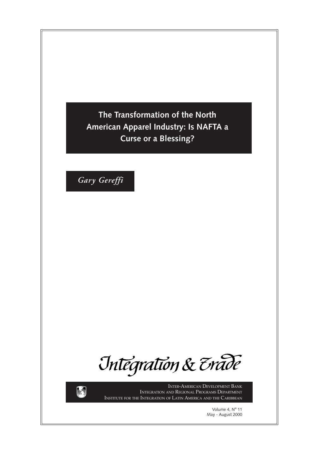**The Transformation of the North American Apparel Industry: Is NAFTA a Curse or a Blessing?**

*Gary Gereffi*

Integration & Erade



INTER-AMERICAN DEVELOPMENT BANK INTEGRATION AND REGIONAL PROGRAMS DEPARTMENT INSTITUTE FOR THE INTEGRATION OF LATIN AMERICA AND THE CARIBBEAN

> Volume 4, N° 11 May - August 2000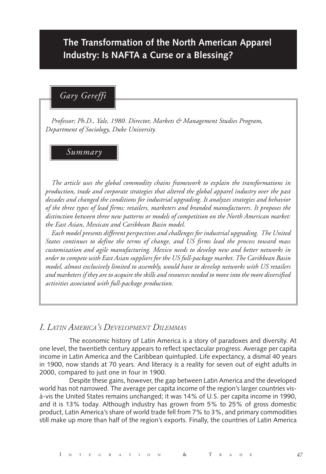# **The Transformation of the North American Apparel Industry: Is NAFTA a Curse or a Blessing?**

## *Gary Gereffi*

*Professor; Ph.D., Yale, 1980. Director, Markets & Management Studies Program, Department of Sociology, Duke University.*

### *Summary*

*The article uses the global commodity chains framework to explain the transformations in production, trade and corporate strategies that altered the global apparel industry over the past decades and changed the conditions for industrial upgrading. It analyzes strategies and behavior of the three types of lead firms: retailers, marketers and branded manufacturers. It proposes the distinction between three new patterns or models of competition on the North American market: the East Asian, Mexican and Caribbean Basin model.*

*Each model presents different perspectives and challenges for industrial upgrading. The United States continues to define the terms of change, and US firms lead the process toward mass customization and agile manufacturing. Mexico needs to develop new and better networks in order to compete with East Asian suppliers for the US full-package market. The Caribbean Basin model, almost exclusively limited to assembly, would have to develop networks with US retailers and marketers if they are to acquire the skills and resources needed to move into the more diversified activities associated with full-package production.*

## *I. LATIN AMERICA'S DEVELOPMENT DILEMMAS*

The economic history of Latin America is a story of paradoxes and diversity. At one level, the twentieth century appears to reflect spectacular progress. Average per capita income in Latin America and the Caribbean quintupled. Life expectancy, a dismal 40 years in 1900, now stands at 70 years. And literacy is a reality for seven out of eight adults in 2000, compared to just one in four in 1900.

Despite these gains, however, the gap between Latin America and the developed world has not narrowed. The average per capita income of the region's larger countries visà-vis the United States remains unchanged; it was 14% of U.S. per capita income in 1990, and it is 13% today. Although industry has grown from 5% to 25% of gross domestic product, Latin America's share of world trade fell from 7% to 3%, and primary commodities still make up more than half of the region's exports. Finally, the countries of Latin America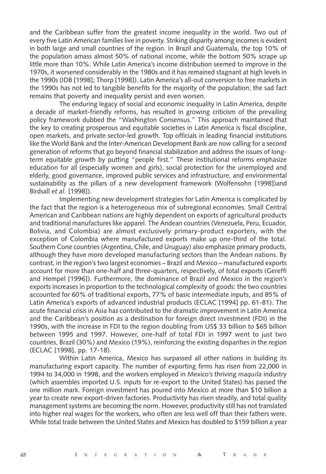and the Caribbean suffer from the greatest income inequality in the world. Two out of every five Latin American families live in poverty. Striking disparity among incomes is evident in both large and small countries of the region. In Brazil and Guatemala, the top 10% of the population amass almost 50% of national income, while the bottom 50% scrape up little more than 10%. While Latin America's income distribution seemed to improve in the 1970s, it worsened considerably in the 1980s and it has remained stagnant at high levels in the 1990s (IDB [1998]; Thorp [1998]). Latin America's all-out conversion to free markets in the 1990s has not led to tangible benefits for the majority of the population; the sad fact remains that poverty and inequality persist and even worsen.

The enduring legacy of social and economic inequality in Latin America, despite a decade of market-friendly reforms, has resulted in growing criticism of the prevailing policy framework dubbed the "Washington Consensus." This approach maintained that the key to creating prosperous and equitable societies in Latin America is fiscal discipline, open markets, and private sector-led growth. Top officials in leading financial institutions like the World Bank and the Inter-American Development Bank are now calling for a second generation of reforms that go beyond financial stabilization and address the issues of longterm equitable growth by putting "people first." These institutional reforms emphasize education for all (especially women and girls), social protection for the unemployed and elderly, good governance, improved public services and infrastructure, and environmental sustainability as the pillars of a new development framework (Wolfensohn [1998])and Birdsall *et al.* [1998]).

Implementing new development strategies for Latin America is complicated by the fact that the region is a heterogeneous mix of subregional economies. Small Central American and Caribbean nations are highly dependent on exports of agricultural products and traditional manufactures like apparel. The Andean countries (Venezuela, Peru, Ecuador, Bolivia, and Colombia) are almost exclusively primary-product exporters, with the exception of Colombia where manufactured exports make up one-third of the total. Southern Cone countries (Argentina, Chile, and Uruguay) also emphasize primary products, although they have more developed manufacturing sectors than the Andean nations. By contrast, in the region's two largest economies – Brazil and Mexico – manufactured exports account for more than one-half and three-quarters, respectively, of total exports (Gereffi and Hempel [1996]). Furthermore, the dominance of Brazil and Mexico in the region's exports increases in proportion to the technological complexity of goods: the two countries accounted for 60% of traditional exports, 77% of basic intermediate inputs, and 85% of Latin America's exports of advanced industrial products (ECLAC [1994] pp. 61-81). The acute financial crisis in Asia has contributed to the dramatic improvement in Latin America and the Caribbean's position as a destination for foreign direct investment (FDI) in the 1990s, with the increase in FDI to the region doubling from US\$ 33 billion to \$65 billion between 1995 and 1997. However, one-half of total FDI in 1997 went to just two countries, Brazil (30%) and Mexico (19%), reinforcing the existing disparities in the region (ECLAC [1998], pp. 17-18).

Within Latin America, Mexico has surpassed all other nations in building its manufacturing export capacity. The number of exporting firms has risen from 22,000 in 1994 to 34,000 in 1998, and the workers employed in Mexico's thriving *maquila* industry (which assembles imported U.S. inputs for re-export to the United States) has passed the one million mark. Foreign investment has poured into Mexico at more than \$10 billion a year to create new export-driven factories. Productivity has risen steadily, and total quality management systems are becoming the norm. However, productivity still has not translated into higher real wages for the workers, who often are less well off than their fathers were. While total trade between the United States and Mexico has doubled to \$159 billion a year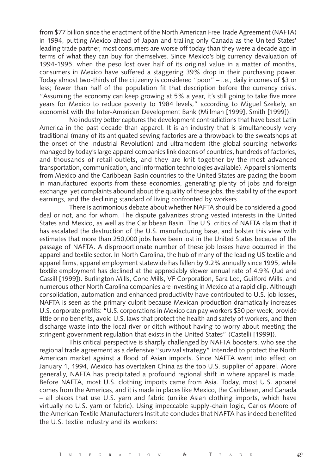from \$77 billion since the enactment of the North American Free Trade Agreement (NAFTA) in 1994, putting Mexico ahead of Japan and trailing only Canada as the United States' leading trade partner, most consumers are worse off today than they were a decade ago in terms of what they can buy for themselves. Since Mexico's big currency devaluation of 1994-1995, when the peso lost over half of its original value in a matter of months, consumers in Mexico have suffered a staggering 39% drop in their purchasing power. Today almost two-thirds of the citizenry is considered "poor" – i.e., daily incomes of \$3 or less; fewer than half of the population fit that description before the currency crisis. "Assuming the economy can keep growing at 5% a year, it's still going to take five more years for Mexico to reduce poverty to 1984 levels," according to Miguel Szekely, an economist with the Inter-American Development Bank (Millman [1999], Smith [1999]).

No industry better captures the development contradictions that have beset Latin America in the past decade than apparel. It is an industry that is simultaneously very traditional (many of its antiquated sewing factories are a throwback to the sweatshops at the onset of the Industrial Revolution) and ultramodern (the global sourcing networks managed by today's large apparel companies link dozens of countries, hundreds of factories, and thousands of retail outlets, and they are knit together by the most advanced transportation, communication, and information technologies available). Apparel shipments from Mexico and the Caribbean Basin countries to the United States are pacing the boom in manufactured exports from these economies, generating plenty of jobs and foreign exchange; yet complaints abound about the quality of these jobs, the stability of the export earnings, and the declining standard of living confronted by workers.

There is acrimonious debate about whether NAFTA should be considered a good deal or not, and for whom. The dispute galvanizes strong vested interests in the United States and Mexico, as well as the Caribbean Basin. The U.S. critics of NAFTA claim that it has escalated the destruction of the U.S. manufacturing base, and bolster this view with estimates that more than 250,000 jobs have been lost in the United States because of the passage of NAFTA. A disproportionate number of these job losses have occurred in the apparel and textile sector. In North Carolina, the hub of many of the leading US textile and apparel firms, apparel employment statewide has fallen by 9.2% annually since 1995, while textile employment has declined at the appreciably slower annual rate of 4.9% (Jud and Cassill [1999]). Burlington Mills, Cone Mills, VF Corporation, Sara Lee, Guilford Mills, and numerous other North Carolina companies are investing in Mexico at a rapid clip. Although consolidation, automation and enhanced productivity have contributed to U.S. job losses, NAFTA is seen as the primary culprit because Mexican production dramatically increases U.S. corporate profits: "U.S. corporations in Mexico can pay workers \$30 per week, provide little or no benefits, avoid U.S. laws that protect the health and safety of workers, and then discharge waste into the local river or ditch without having to worry about meeting the stringent government regulation that exists in the United States" (Castelli [1999]).

This critical perspective is sharply challenged by NAFTA boosters, who see the regional trade agreement as a defensive "survival strategy" intended to protect the North American market against a flood of Asian imports. Since NAFTA went into effect on January 1, 1994, Mexico has overtaken China as the top U.S. supplier of apparel. More generally, NAFTA has precipitated a profound regional shift in where apparel is made. Before NAFTA, most U.S. clothing imports came from Asia. Today, most U.S. apparel comes from the Americas, and it is made in places like Mexico, the Caribbean, and Canada – all places that use U.S. yarn and fabric (unlike Asian clothing imports, which have virtually no U.S. yarn or fabric). Using impeccable supply-chain logic, Carlos Moore of the American Textile Manufacturers Institute concludes that NAFTA has indeed benefited the U.S. textile industry and its workers: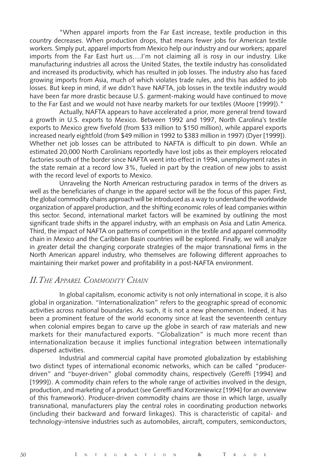"When apparel imports from the Far East increase, textile production in this country decreases. When production drops, that means fewer jobs for American textile workers. Simply put, apparel imports from Mexico help our industry and our workers; apparel imports from the Far East hurt us….I'm not claiming all is rosy in our industry. Like manufacturing industries all across the United States, the textile industry has consolidated and increased its productivity, which has resulted in job losses. The industry also has faced growing imports from Asia, much of which violates trade rules, and this has added to job losses. But keep in mind, if we didn't have NAFTA, job losses in the textile industry would have been far more drastic because U.S. garment-making would have continued to move to the Far East and we would not have nearby markets for our textiles (Moore [1999])."

Actually, NAFTA appears to have accelerated a prior, more general trend toward a growth in U.S. exports to Mexico. Between 1992 and 1997, North Carolina's textile exports to Mexico grew fivefold (from \$33 million to \$150 million), while apparel exports increased nearly eightfold (from \$49 million in 1992 to \$383 million in 1997) (Dyer [1999]). Whether net job losses can be attributed to NAFTA is difficult to pin down. While an estimated 20,000 North Carolinians reportedly have lost jobs as their employers relocated factories south of the border since NAFTA went into effect in 1994, unemployment rates in the state remain at a record low 3%, fueled in part by the creation of new jobs to assist with the record level of exports to Mexico.

Unraveling the North American restructuring paradox in terms of the drivers as well as the beneficiaries of change in the apparel sector will be the focus of this paper. First, the global commodity chains approach will be introduced as a way to understand the worldwide organization of apparel production, and the shifting economic roles of lead companies within this sector. Second, international market factors will be examined by outlining the most significant trade shifts in the apparel industry, with an emphasis on Asia and Latin America. Third, the impact of NAFTA on patterns of competition in the textile and apparel commodity chain in Mexico and the Caribbean Basin countries will be explored. Finally, we will analyze in greater detail the changing corporate strategies of the major transnational firms in the North American apparel industry, who themselves are following different approaches to maintaining their market power and profitability in a post-NAFTA environment.

## *II.THE APPAREL COMMODITY CHAIN*

In global capitalism, economic activity is not only international in scope, it is also global in organization. "Internationalization" refers to the geographic spread of economic activities across national boundaries. As such, it is not a new phenomenon. Indeed, it has been a prominent feature of the world economy since at least the seventeenth century when colonial empires began to carve up the globe in search of raw materials and new markets for their manufactured exports. "Globalization" is much more recent than internationalization because it implies functional integration between internationally dispersed activities.

Industrial and commercial capital have promoted globalization by establishing two distinct types of international economic networks, which can be called "producerdriven" and "buyer-driven" global commodity chains, respectively (Gereffi [1994] and [1999]). A commodity chain refers to the whole range of activities involved in the design, production, and marketing of a product (see Gereffi and Korzeniewicz [1994] for an overview of this framework). Producer-driven commodity chains are those in which large, usually transnational, manufacturers play the central roles in coordinating production networks (including their backward and forward linkages). This is characteristic of capital- and technology-intensive industries such as automobiles, aircraft, computers, semiconductors,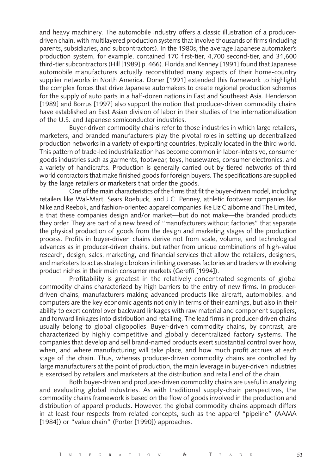and heavy machinery. The automobile industry offers a classic illustration of a producerdriven chain, with multilayered production systems that involve thousands of firms (including parents, subsidiaries, and subcontractors). In the 1980s, the average Japanese automaker's production system, for example, contained 170 first-tier, 4,700 second-tier, and 31,600 third-tier subcontractors (Hill [1989] p. 466). Florida and Kenney [1991] found that Japanese automobile manufacturers actually reconstituted many aspects of their home-country supplier networks in North America. Doner [1991] extended this framework to highlight the complex forces that drive Japanese automakers to create regional production schemes for the supply of auto parts in a half-dozen nations in East and Southeast Asia. Henderson [1989] and Borrus [1997] also support the notion that producer-driven commodity chains have established an East Asian division of labor in their studies of the internationalization of the U.S. and Japanese semiconductor industries.

Buyer-driven commodity chains refer to those industries in which large retailers, marketers, and branded manufacturers play the pivotal roles in setting up decentralized production networks in a variety of exporting countries, typically located in the third world. This pattern of trade-led industrialization has become common in labor-intensive, consumer goods industries such as garments, footwear, toys, housewares, consumer electronics, and a variety of handicrafts. Production is generally carried out by tiered networks of third world contractors that make finished goods for foreign buyers. The specifications are supplied by the large retailers or marketers that order the goods.

One of the main characteristics of the firms that fit the buyer-driven model, including retailers like Wal-Mart, Sears Roebuck, and J.C. Penney, athletic footwear companies like Nike and Reebok, and fashion-oriented apparel companies like Liz Claiborne and The Limited, is that these companies design and/or market—but do not make—the branded products they order. They are part of a new breed of "manufacturers without factories" that separate the physical production of goods from the design and marketing stages of the production process. Profits in buyer-driven chains derive not from scale, volume, and technological advances as in producer-driven chains, but rather from unique combinations of high-value research, design, sales, marketing, and financial services that allow the retailers, designers, and marketers to act as strategic brokers in linking overseas factories and traders with evolving product niches in their main consumer markets (Gereffi [1994]).

Profitability is greatest in the relatively concentrated segments of global commodity chains characterized by high barriers to the entry of new firms. In producerdriven chains, manufacturers making advanced products like aircraft, automobiles, and computers are the key economic agents not only in terms of their earnings, but also in their ability to exert control over backward linkages with raw material and component suppliers, and forward linkages into distribution and retailing. The lead firms in producer-driven chains usually belong to global oligopolies. Buyer-driven commodity chains, by contrast, are characterized by highly competitive and globally decentralized factory systems. The companies that develop and sell brand-named products exert substantial control over how, when, and where manufacturing will take place, and how much profit accrues at each stage of the chain. Thus, whereas producer-driven commodity chains are controlled by large manufacturers at the point of production, the main leverage in buyer-driven industries is exercised by retailers and marketers at the distribution and retail end of the chain.

Both buyer-driven and producer-driven commodity chains are useful in analyzing and evaluating global industries. As with traditional supply-chain perspectives, the commodity chains framework is based on the flow of goods involved in the production and distribution of apparel products. However, the global commodity chains approach differs in at least four respects from related concepts, such as the apparel "pipeline" (AAMA [1984]) or "value chain" (Porter [1990]) approaches.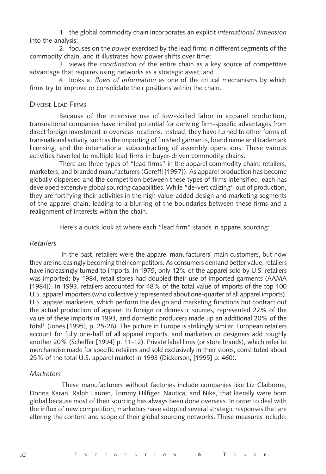1. the global commodity chain incorporates an explicit *international dimension* into the analysis;

2. focuses on the *power* exercised by the lead firms in different segments of the commodity chain, and it illustrates how power shifts over time;

3. views the *coordination* of the entire chain as a key source of competitive advantage that requires using networks as a strategic asset; and

4. looks at *flows of information* as one of the critical mechanisms by which firms try to improve or consolidate their positions within the chain.

#### DIVERSE LEAD FIRMS

Because of the intensive use of low-skilled labor in apparel production, transnational companies have limited potential for deriving firm-specific advantages from direct foreign investment in overseas locations. Instead, they have turned to other forms of transnational activity, such as the importing of finished garments, brand name and trademark licensing, and the international subcontracting of assembly operations. These various activities have led to multiple lead firms in buyer-driven commodity chains.

There are three types of "lead firms" in the apparel commodity chain: retailers, marketers, and branded manufacturers (Gereffi [1997]). As apparel production has become globally dispersed and the competition between these types of firms intensified, each has developed extensive global sourcing capabilities. While "de-verticalizing" out of production, they are fortifying their activities in the high value-added design and marketing segments of the apparel chain, leading to a blurring of the boundaries between these firms and a realignment of interests within the chain.

Here's a quick look at where each "lead firm" stands in apparel sourcing:

#### *Retailers*

 In the past, retailers were the apparel manufacturers' main customers, but now they are increasingly becoming their competitors. As consumers demand better value, retailers have increasingly turned to imports. In 1975, only 12% of the apparel sold by U.S. retailers was imported; by 1984, retail stores had doubled their use of imported garments (AAMA [1984]). In 1993, retailers accounted for 48% of the total value of imports of the top 100 U.S. apparel importers (who collectively represented about one-quarter of all apparel imports). U.S. apparel marketers, which perform the design and marketing functions but contract out the actual production of apparel to foreign or domestic sources, represented 22% of the value of these imports in 1993, and domestic producers made up an additional 20% of the total<sup>1</sup> (Jones [1995], p. 25-26). The picture in Europe is strikingly similar. European retailers account for fully one-half of all apparel imports, and marketers or designers add roughly another 20% (Scheffer [1994] p. 11-12). Private label lines (or store brands), which refer to merchandise made for specific retailers and sold exclusively in their stores, constituted about 25% of the total U.S. apparel market in 1993 (Dickerson, [1995] p. 460).

#### *Marketers*

 These manufacturers without factories include companies like Liz Claiborne, Donna Karan, Ralph Lauren, Tommy Hilfiger, Nautica, and Nike, that literally were born global because most of their sourcing has always been done overseas. In order to deal with the influx of new competition, marketers have adopted several strategic responses that are altering the content and scope of their global sourcing networks. These measures include: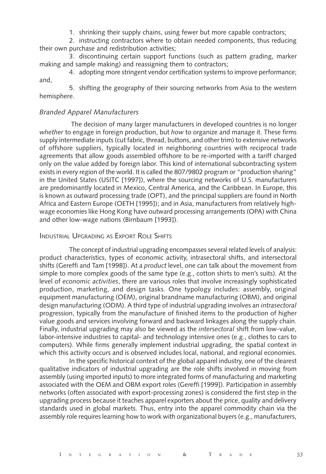1. shrinking their supply chains, using fewer but more capable contractors;

2. instructing contractors where to obtain needed components, thus reducing their own purchase and redistribution activities;

3. discontinuing certain support functions (such as pattern grading, marker making and sample making) and reassigning them to contractors;

4. adopting more stringent vendor certification systems to improve performance; and,

5. shifting the geography of their sourcing networks from Asia to the western hemisphere.

### *Branded Apparel Manufacturers*

 The decision of many larger manufacturers in developed countries is no longer *whether* to engage in foreign production, but *how* to organize and manage it. These firms supply intermediate inputs (cut fabric, thread, buttons, and other trim) to extensive networks of offshore suppliers, typically located in neighboring countries with reciprocal trade agreements that allow goods assembled offshore to be re-imported with a tariff charged only on the value added by foreign labor. This kind of international subcontracting system exists in every region of the world. It is called the 807/9802 program or "production sharing" in the United States (USITC [1997]), where the sourcing networks of U.S. manufacturers are predominantly located in Mexico, Central America, and the Caribbean. In Europe, this is known as outward processing trade (OPT), and the principal suppliers are found in North Africa and Eastern Europe (OETH [1995]); and in Asia, manufacturers from relatively highwage economies like Hong Kong have outward processing arrangements (OPA) with China and other low-wage nations (Birnbaum [1993]).

#### INDUSTRIAL UPGRADING AS EXPORT ROLE SHIFTS

The concept of industrial upgrading encompasses several related levels of analysis: product characteristics, types of economic activity, intrasectoral shifts, and intersectoral shifts (Gereffi and Tam [1998]). At a *product* level, one can talk about the movement from simple to more complex goods of the same type (e.g., cotton shirts to men's suits). At the level of *economic activities*, there are various roles that involve increasingly sophisticated production, marketing, and design tasks. One typology includes: assembly, original equipment manufacturing (OEM), original brandname manufacturing (OBM), and original design manufacturing (ODM). A third type of industrial upgrading involves an *intrasectoral* progression, typically from the manufacture of finished items to the production of higher value goods and services involving forward and backward linkages along the supply chain. Finally, industrial upgrading may also be viewed as the *intersectoral* shift from low-value, labor-intensive industries to capital- and technology intensive ones (e.g., clothes to cars to computers). While firms generally implement industrial upgrading, the spatial context in which this activity occurs and is observed includes local, national, and regional economies.

In the specific historical context of the global apparel industry, one of the clearest qualitative indicators of industrial upgrading are the role shifts involved in moving from assembly (using imported inputs) to more integrated forms of manufacturing and marketing associated with the OEM and OBM export roles (Gereffi [1999]). Participation in assembly networks (often associated with export-processing zones) is considered the first step in the upgrading process because it teaches apparel exporters about the price, quality and delivery standards used in global markets. Thus, entry into the apparel commodity chain via the assembly role requires learning how to work with organizational buyers (e.g., manufacturers,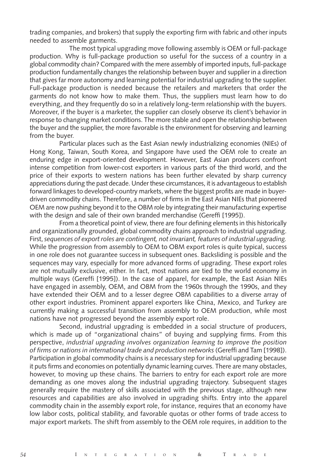trading companies, and brokers) that supply the exporting firm with fabric and other inputs needed to assemble garments.

The most typical upgrading move following assembly is OEM or full-package production. Why is full-package production so useful for the success of a country in a global commodity chain? Compared with the mere assembly of imported inputs, full-package production fundamentally changes the relationship between buyer and supplier in a direction that gives far more autonomy and learning potential for industrial upgrading to the supplier. Full-package production is needed because the retailers and marketers that order the garments do not know how to make them. Thus, the suppliers must learn how to do everything, and they frequently do so in a relatively long-term relationship with the buyers. Moreover, if the buyer is a marketer, the supplier can closely observe its client's behavior in response to changing market conditions. The more stable and open the relationship between the buyer and the supplier, the more favorable is the environment for observing and learning from the buyer.

Particular places such as the East Asian newly industrializing economies (NIEs) of Hong Kong, Taiwan, South Korea, and Singapore have used the OEM role to create an enduring edge in export-oriented development. However, East Asian producers confront intense competition from lower-cost exporters in various parts of the third world, and the price of their exports to western nations has been further elevated by sharp currency appreciations during the past decade. Under these circumstances, it is advantageous to establish forward linkages to developed-country markets, where the biggest profits are made in buyerdriven commodity chains. Therefore, a number of firms in the East Asian NIEs that pioneered OEM are now pushing beyond it to the OBM role by integrating their manufacturing expertise with the design and sale of their own branded merchandise (Gereffi [1995]).

From a theoretical point of view, there are four defining elements in this historically and organizationally grounded, global commodity chains approach to industrial upgrading. First, *sequences of export roles are contingent, not invariant, features of industrial upgrading.* While the progression from assembly to OEM to OBM export roles is quite typical, success in one role does not guarantee success in subsequent ones. Backsliding is possible and the sequences may vary, especially for more advanced forms of upgrading. These export roles are not mutually exclusive, either. In fact, most nations are tied to the world economy in multiple ways (Gereffi [1995]). In the case of apparel, for example, the East Asian NIEs have engaged in assembly, OEM, and OBM from the 1960s through the 1990s, and they have extended their OEM and to a lesser degree OBM capabilities to a diverse array of other export industries. Prominent apparel exporters like China, Mexico, and Turkey are currently making a successful transition from assembly to OEM production, while most nations have not progressed beyond the assembly export role.

Second, industrial upgrading is embedded in a social structure of producers, which is made up of "organizational chains" of buying and supplying firms. From this perspective, *industrial upgrading involves organization learning to improve the position of firms or nations in international trade and production networks* (Gereffi and Tam [1998]). Participation in global commodity chains is a necessary step for industrial upgrading because it puts firms and economies on potentially dynamic learning curves. There are many obstacles, however, to moving up these chains. The barriers to entry for each export role are more demanding as one moves along the industrial upgrading trajectory. Subsequent stages generally require the mastery of skills associated with the previous stage, although new resources and capabilities are also involved in upgrading shifts. Entry into the apparel commodity chain in the assembly export role, for instance, requires that an economy have low labor costs, political stability, and favorable quotas or other forms of trade access to major export markets. The shift from assembly to the OEM role requires, in addition to the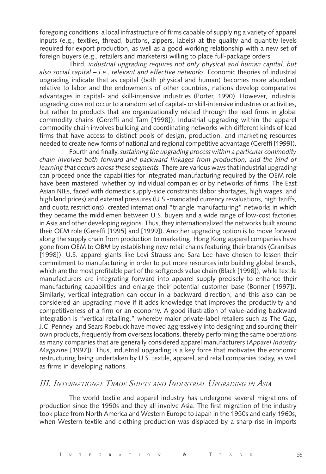foregoing conditions, a local infrastructure of firms capable of supplying a variety of apparel inputs (e.g., textiles, thread, buttons, zippers, labels) at the quality and quantity levels required for export production, as well as a good working relationship with a new set of foreign buyers (e.g., retailers and marketers) willing to place full-package orders.

Third, *industrial upgrading requires not only physical and human capital, but also social capital – i.e., relevant and effective networks*. Economic theories of industrial upgrading indicate that as capital (both physical and human) becomes more abundant relative to labor and the endowments of other countries, nations develop comparative advantages in capital- and skill-intensive industries (Porter, 1990). However, industrial upgrading does not occur to a random set of capital- or skill-intensive industries or activities, but rather to products that are organizationally related through the lead firms in global commodity chains (Gereffi and Tam [1998]). Industrial upgrading within the apparel commodity chain involves building and coordinating networks with different kinds of lead firms that have access to distinct pools of design, production, and marketing resources needed to create new forms of national and regional competitive advantage (Gereffi [1999]).

Fourth and finally, *sustaining the upgrading process within a particular commodity chain involves both forward and backward linkages from production, and the kind of learning that occurs across these segments.* There are various ways that industrial upgrading can proceed once the capabilities for integrated manufacturing required by the OEM role have been mastered, whether by individual companies or by networks of firms. The East Asian NIEs, faced with domestic supply-side constraints (labor shortages, high wages, and high land prices) and external pressures (U.S.-mandated currency revaluations, high tariffs, and quota restrictions), created international "triangle manufacturing" networks in which they became the middlemen between U.S. buyers and a wide range of low-cost factories in Asia and other developing regions. Thus, they internationalized the networks built around their OEM role (Gereffi [1995] and [1999]). Another upgrading option is to move forward along the supply chain from production to marketing. Hong Kong apparel companies have gone from OEM to OBM by establishing new retail chains featuring their brands (Granitsas [1998]). U.S. apparel giants like Levi Strauss and Sara Lee have chosen to lessen their commitment to manufacturing in order to put more resources into building global brands, which are the most profitable part of the softgoods value chain (Black [1998]), while textile manufacturers are integrating forward into apparel supply precisely to enhance their manufacturing capabilities and enlarge their potential customer base (Bonner [1997]). Similarly, vertical integration can occur in a backward direction, and this also can be considered an upgrading move if it adds knowledge that improves the productivity and competitiveness of a firm or an economy. A good illustration of value-adding backward integration is "vertical retailing," whereby major private-label retailers such as The Gap, J.C. Penney, and Sears Roebuck have moved aggressively into designing and sourcing their own products, frequently from overseas locations, thereby performing the same operations as many companies that are generally considered apparel manufacturers (*Apparel Industry Magazine* [1997]). Thus, industrial upgrading is a key force that motivates the economic restructuring being undertaken by U.S. textile, apparel, and retail companies today, as well as firms in developing nations.

## *III. INTERNATIONAL TRADE SHIFTS AND INDUSTRIAL UPGRADING IN ASIA*

The world textile and apparel industry has undergone several migrations of production since the 1950s and they all involve Asia. The first migration of the industry took place from North America and Western Europe to Japan in the 1950s and early 1960s, when Western textile and clothing production was displaced by a sharp rise in imports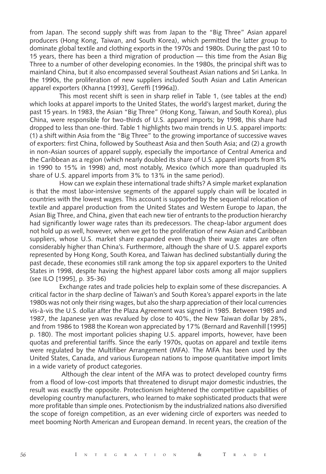from Japan. The second supply shift was from Japan to the "Big Three" Asian apparel producers (Hong Kong, Taiwan, and South Korea), which permitted the latter group to dominate global textile and clothing exports in the 1970s and 1980s. During the past 10 to 15 years, there has been a third migration of production — this time from the Asian Big Three to a number of other developing economies. In the 1980s, the principal shift was to mainland China, but it also encompassed several Southeast Asian nations and Sri Lanka. In the 1990s, the proliferation of new suppliers included South Asian and Latin American apparel exporters (Khanna [1993], Gereffi [1996a]).

This most recent shift is seen in sharp relief in Table 1, (see tables at the end) which looks at apparel imports to the United States, the world's largest market, during the past 15 years. In 1983, the Asian "Big Three" (Hong Kong, Taiwan, and South Korea), plus China, were responsible for two-thirds of U.S. apparel imports; by 1998, this share had dropped to less than one-third. Table 1 highlights two main trends in U.S. apparel imports: (1) a shift within Asia from the "Big Three" to the growing importance of successive waves of exporters: first China, followed by Southeast Asia and then South Asia; and (2) a growth in non-Asian sources of apparel supply, especially the importance of Central America and the Caribbean as a region (which nearly doubled its share of U.S. apparel imports from 8% in 1990 to 15% in 1998) and, most notably, Mexico (which more than quadrupled its share of U.S. apparel imports from 3% to 13% in the same period).

How can we explain these international trade shifts? A simple market explanation is that the most labor-intensive segments of the apparel supply chain will be located in countries with the lowest wages. This account is supported by the sequential relocation of textile and apparel production from the United States and Western Europe to Japan, the Asian Big Three, and China, given that each new tier of entrants to the production hierarchy had significantly lower wage rates than its predecessors. The cheap-labor argument does not hold up as well, however, when we get to the proliferation of new Asian and Caribbean suppliers, whose U.S. market share expanded even though their wage rates are often considerably higher than China's. Furthermore, although the share of U.S. apparel exports represented by Hong Kong, South Korea, and Taiwan has declined substantially during the past decade, these economies still rank among the top six apparel exporters to the United States in 1998, despite having the highest apparel labor costs among all major suppliers (see ILO [1995], p. 35-36)

Exchange rates and trade policies help to explain some of these discrepancies. A critical factor in the sharp decline of Taiwan's and South Korea's apparel exports in the late 1980s was not only their rising wages, but also the sharp appreciation of their local currencies vis-à-vis the U.S. dollar after the Plaza Agreement was signed in 1985. Between 1985 and 1987, the Japanese yen was revalued by close to 40%, the New Taiwan dollar by 28%, and from 1986 to 1988 the Korean won appreciated by 17% (Bernard and Ravenhill [1995] p. 180). The most important policies shaping U.S. apparel imports, however, have been quotas and preferential tariffs. Since the early 1970s, quotas on apparel and textile items were regulated by the Multifiber Arrangement (MFA). The MFA has been used by the United States, Canada, and various European nations to impose quantitative import limits in a wide variety of product categories.

 Although the clear intent of the MFA was to protect developed country firms from a flood of low-cost imports that threatened to disrupt major domestic industries, the result was exactly the opposite. Protectionism heightened the competitive capabilities of developing country manufacturers, who learned to make sophisticated products that were more profitable than simple ones. Protectionism by the industrialized nations also diversified the scope of foreign competition, as an ever widening circle of exporters was needed to meet booming North American and European demand. In recent years, the creation of the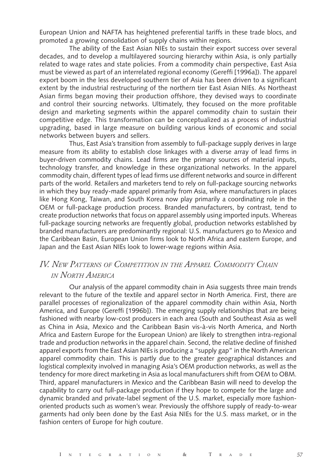European Union and NAFTA has heightened preferential tariffs in these trade blocs, and promoted a growing consolidation of supply chains within regions.

The ability of the East Asian NIEs to sustain their export success over several decades, and to develop a multilayered sourcing hierarchy within Asia, is only partially related to wage rates and state policies. From a commodity chain perspective, East Asia must be viewed as part of an interrelated regional economy (Gereffi [1996a]). The apparel export boom in the less developed southern tier of Asia has been driven to a significant extent by the industrial restructuring of the northern tier East Asian NIEs. As Northeast Asian firms began moving their production offshore, they devised ways to coordinate and control their sourcing networks. Ultimately, they focused on the more profitable design and marketing segments within the apparel commodity chain to sustain their competitive edge. This transformation can be conceptualized as a process of industrial upgrading, based in large measure on building various kinds of economic and social networks between buyers and sellers.

Thus, East Asia's transition from assembly to full-package supply derives in large measure from its ability to establish close linkages with a diverse array of lead firms in buyer-driven commodity chains. Lead firms are the primary sources of material inputs, technology transfer, and knowledge in these organizational networks. In the apparel commodity chain, different types of lead firms use different networks and source in different parts of the world. Retailers and marketers tend to rely on full-package sourcing networks in which they buy ready-made apparel primarily from Asia, where manufacturers in places like Hong Kong, Taiwan, and South Korea now play primarily a coordinating role in the OEM or full-package production process. Branded manufacturers, by contrast, tend to create production networks that focus on apparel assembly using imported inputs. Whereas full-package sourcing networks are frequently global, production networks established by branded manufacturers are predominantly regional: U.S. manufacturers go to Mexico and the Caribbean Basin, European Union firms look to North Africa and eastern Europe, and Japan and the East Asian NIEs look to lower-wage regions within Asia.

# *IV. NEW PATTERNS OF COMPETITION IN THE APPAREL COMMODITY CHAIN IN NORTH AMERICA*

Our analysis of the apparel commodity chain in Asia suggests three main trends relevant to the future of the textile and apparel sector in North America. First, there are parallel processes of regionalization of the apparel commodity chain within Asia, North America, and Europe (Gereffi [1996b]). The emerging supply relationships that are being fashioned with nearby low-cost producers in each area (South and Southeast Asia as well as China in Asia, Mexico and the Caribbean Basin vis-à-vis North America, and North Africa and Eastern Europe for the European Union) are likely to strengthen intra-regional trade and production networks in the apparel chain. Second, the relative decline of finished apparel exports from the East Asian NIEs is producing a "supply gap" in the North American apparel commodity chain. This is partly due to the greater geographical distances and logistical complexity involved in managing Asia's OEM production networks, as well as the tendency for more direct marketing in Asia as local manufacturers shift from OEM to OBM. Third, apparel manufacturers in Mexico and the Caribbean Basin will need to develop the capability to carry out full-package production if they hope to compete for the large and dynamic branded and private-label segment of the U.S. market, especially more fashionoriented products such as women's wear. Previously the offshore supply of ready-to-wear garments had only been done by the East Asia NIEs for the U.S. mass market, or in the fashion centers of Europe for high couture.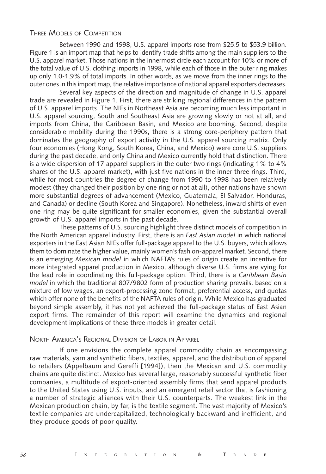### THREE MODELS OF COMPETITION

Between 1990 and 1998, U.S. apparel imports rose from \$25.5 to \$53.9 billion. Figure 1 is an import map that helps to identify trade shifts among the main suppliers to the U.S. apparel market. Those nations in the innermost circle each account for 10% or more of the total value of U.S. clothing imports in 1998, while each of those in the outer ring makes up only 1.0-1.9% of total imports. In other words, as we move from the inner rings to the outer ones in this import map, the relative importance of national apparel exporters decreases.

Several key aspects of the direction and magnitude of change in U.S. apparel trade are revealed in Figure 1. First, there are striking regional differences in the pattern of U.S. apparel imports. The NIEs in Northeast Asia are becoming much less important in U.S. apparel sourcing, South and Southeast Asia are growing slowly or not at all, and imports from China, the Caribbean Basin, and Mexico are booming. Second, despite considerable mobility during the 1990s, there is a strong core-periphery pattern that dominates the geography of export activity in the U.S. apparel sourcing matrix. Only four economies (Hong Kong, South Korea, China, and Mexico) were core U.S. suppliers during the past decade, and only China and Mexico currently hold that distinction. There is a wide dispersion of 17 apparel suppliers in the outer two rings (indicating 1% to 4% shares of the U.S. apparel market), with just five nations in the inner three rings. Third, while for most countries the degree of change from 1990 to 1998 has been relatively modest (they changed their position by one ring or not at all), other nations have shown more substantial degrees of advancement (Mexico, Guatemala, El Salvador, Honduras, and Canada) or decline (South Korea and Singapore). Nonetheless, inward shifts of even one ring may be quite significant for smaller economies, given the substantial overall growth of U.S. apparel imports in the past decade.

These patterns of U.S. sourcing highlight three distinct models of competition in the North American apparel industry. First, there is an *East Asian model* in which national exporters in the East Asian NIEs offer full-package apparel to the U.S. buyers, which allows them to dominate the higher value, mainly women's fashion-apparel market. Second, there is an emerging *Mexican model* in which NAFTA's rules of origin create an incentive for more integrated apparel production in Mexico, although diverse U.S. firms are vying for the lead role in coordinating this full-package option. Third, there is a *Caribbean Basin model* in which the traditional 807/9802 form of production sharing prevails, based on a mixture of low wages, an export-processing zone format, preferential access, and quotas which offer none of the benefits of the NAFTA rules of origin. While Mexico has graduated beyond simple assembly, it has not yet achieved the full-package status of East Asian export firms. The remainder of this report will examine the dynamics and regional development implications of these three models in greater detail.

#### NORTH AMERICA'S REGIONAL DIVISION OF LABOR IN APPAREL

If one envisions the complete apparel commodity chain as encompassing raw materials, yarn and synthetic fibers, textiles, apparel, and the distribution of apparel to retailers (Appelbaum and Gereffi [1994]), then the Mexican and U.S. commodity chains are quite distinct. Mexico has several large, reasonably successful synthetic fiber companies, a multitude of export-oriented assembly firms that send apparel products to the United States using U.S. inputs, and an emergent retail sector that is fashioning a number of strategic alliances with their U.S. counterparts. The weakest link in the Mexican production chain, by far, is the textile segment. The vast majority of Mexico's textile companies are undercapitalized, technologically backward and inefficient, and they produce goods of poor quality.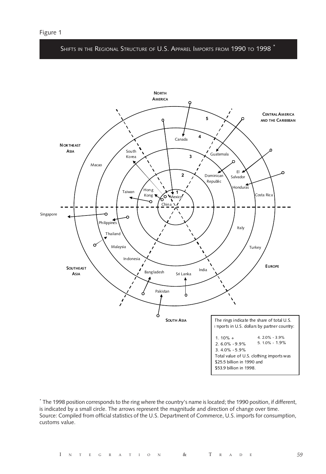SHIFTS IN THE REGIONAL STRUCTURE OF U.S. APPAREL IMPORTS FROM 1990 TO 1998



\* The 1998 position corresponds to the ring where the country's name is located; the 1990 position, if different, is indicated by a small circle. The arrows represent the magnitude and direction of change over time. Source: Compiled from official statistics of the U.S. Department of Commerce, U.S. imports for consumption, customs value.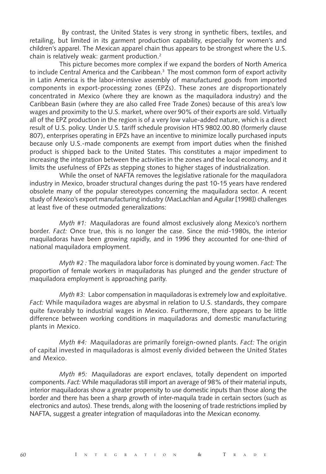By contrast, the United States is very strong in synthetic fibers, textiles, and retailing, but limited in its garment production capability, especially for women's and children's apparel. The Mexican apparel chain thus appears to be strongest where the U.S. chain is relatively weak: garment production.2

This picture becomes more complex if we expand the borders of North America to include Central America and the Caribbean.<sup>3</sup> The most common form of export activity in Latin America is the labor-intensive assembly of manufactured goods from imported components in export-processing zones (EPZs). These zones are disproportionately concentrated in Mexico (where they are known as the maquiladora industry) and the Caribbean Basin (where they are also called Free Trade Zones) because of this area's low wages and proximity to the U.S. market, where over 90% of their exports are sold. Virtually all of the EPZ production in the region is of a very low value-added nature, which is a direct result of U.S. policy. Under U.S. tariff schedule provision HTS 9802.00.80 (formerly clause 807), enterprises operating in EPZs have an incentive to minimize locally purchased inputs because only U.S.-made components are exempt from import duties when the finished product is shipped back to the United States. This constitutes a major impediment to increasing the integration between the activities in the zones and the local economy, and it limits the usefulness of EPZs as stepping stones to higher stages of industrialization.

While the onset of NAFTA removes the legislative rationale for the maquiladora industry in Mexico, broader structural changes during the past 10-15 years have rendered obsolete many of the popular stereotypes concerning the maquiladora sector. A recent study of Mexico's export manufacturing industry (MacLachlan and Aguilar [1998]) challenges at least five of these outmoded generalizations:

*Myth #1:* Maquiladoras are found almost exclusively along Mexico's northern border. *Fact:* Once true, this is no longer the case. Since the mid-1980s, the interior maquiladoras have been growing rapidly, and in 1996 they accounted for one-third of national maquiladora employment.

*Myth #2 :* The maquiladora labor force is dominated by young women. *Fact:* The proportion of female workers in maquiladoras has plunged and the gender structure of maquiladora employment is approaching parity.

*Myth #3:* Labor compensation in maquiladoras is extremely low and exploitative. *Fact:* While maquiladora wages are abysmal in relation to U.S. standards, they compare quite favorably to industrial wages in Mexico. Furthermore, there appears to be little difference between working conditions in maquiladoras and domestic manufacturing plants in Mexico.

*Myth #4:* Maquiladoras are primarily foreign-owned plants. *Fact:* The origin of capital invested in maquiladoras is almost evenly divided between the United States and Mexico.

*Myth #5:* Maquiladoras are export enclaves, totally dependent on imported components. *Fact:* While maquiladoras still import an average of 98% of their material inputs, interior maquiladoras show a greater propensity to use domestic inputs than those along the border and there has been a sharp growth of inter-maquila trade in certain sectors (such as electronics and autos). These trends, along with the loosening of trade restrictions implied by NAFTA, suggest a greater integration of maquiladoras into the Mexican economy.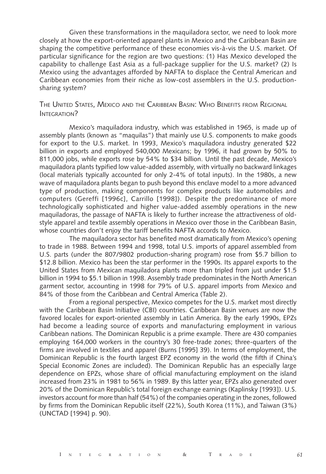Given these transformations in the maquiladora sector, we need to look more closely at how the export-oriented apparel plants in Mexico and the Caribbean Basin are shaping the competitive performance of these economies vis-à-vis the U.S. market. Of particular significance for the region are two questions: (1) Has Mexico developed the capability to challenge East Asia as a full-package supplier for the U.S. market? (2) Is Mexico using the advantages afforded by NAFTA to displace the Central American and Caribbean economies from their niche as low-cost assemblers in the U.S. productionsharing system?

### THE UNITED STATES, MEXICO AND THE CARIBBEAN BASIN: WHO BENEFITS FROM REGIONAL INTEGRATION?

Mexico's maquiladora industry, which was established in 1965, is made up of assembly plants (known as "maquilas") that mainly use U.S. components to make goods for export to the U.S. market. In 1993, Mexico's maquiladora industry generated \$22 billion in exports and employed 540,000 Mexicans; by 1996, it had grown by 50% to 811,000 jobs, while exports rose by 54% to \$34 billion. Until the past decade, Mexico's maquiladora plants typified low value-added assembly, with virtually no backward linkages (local materials typically accounted for only 2-4% of total inputs). In the 1980s, a new wave of maquiladora plants began to push beyond this enclave model to a more advanced type of production, making components for complex products like automobiles and computers (Gereffi [1996c], Carrillo [1998]). Despite the predominance of more technologically sophisticated and higher value-added assembly operations in the new maquiladoras, the passage of NAFTA is likely to further increase the attractiveness of oldstyle apparel and textile assembly operations in Mexico over those in the Caribbean Basin, whose countries don't enjoy the tariff benefits NAFTA accords to Mexico.

The maquiladora sector has benefited most dramatically from Mexico's opening to trade in 1988. Between 1994 and 1998, total U.S. imports of apparel assembled from U.S. parts (under the 807/9802 production-sharing program) rose from \$5.7 billion to \$12.8 billion. Mexico has been the star performer in the 1990s. Its apparel exports to the United States from Mexican maquiladora plants more than tripled from just under \$1.5 billion in 1994 to \$5.1 billion in 1998. Assembly trade predominates in the North American garment sector, accounting in 1998 for 79% of U.S. apparel imports from Mexico and 84% of those from the Caribbean and Central America (Table 2).

From a regional perspective, Mexico competes for the U.S. market most directly with the Caribbean Basin Initiative (CBI) countries. Caribbean Basin venues are now the favored locales for export-oriented assembly in Latin America. By the early 1990s, EPZs had become a leading source of exports and manufacturing employment in various Caribbean nations. The Dominican Republic is a prime example. There are 430 companies employing 164,000 workers in the country's 30 free-trade zones; three-quarters of the firms are involved in textiles and apparel (Burns [1995] 39). In terms of employment, the Dominican Republic is the fourth largest EPZ economy in the world (the fifth if China's Special Economic Zones are included). The Dominican Republic has an especially large dependence on EPZs, whose share of official manufacturing employment on the island increased from 23% in 1981 to 56% in 1989. By this latter year, EPZs also generated over 20% of the Dominican Republic's total foreign exchange earnings (Kaplinsky [1993]). U.S. investors account for more than half (54%) of the companies operating in the zones, followed by firms from the Dominican Republic itself (22%), South Korea (11%), and Taiwan (3%) (UNCTAD [1994] p. 90).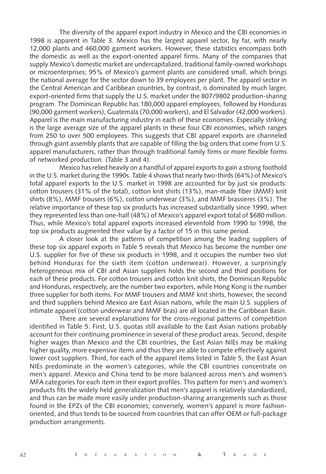The diversity of the apparel export industry in Mexico and the CBI economies in 1998 is apparent in Table 3. Mexico has the largest apparel sector, by far, with nearly 12,000 plants and 460,000 garment workers. However, these statistics encompass both the domestic as well as the export-oriented apparel firms. Many of the companies that supply Mexico's domestic market are undercapitalized, traditional family-owned workshops or microenterprises; 95% of Mexico's garment plants are considered small, which brings the national average for the sector down to 39 employees per plant. The apparel sector in the Central American and Caribbean countries, by contrast, is dominated by much larger, export-oriented firms that supply the U.S. market under the 807/9802 production-sharing program. The Dominican Republic has 180,000 apparel employees, followed by Honduras (90,000 garment workers), Guatemala (70,000 workers), and El Salvador (42,000 workers). Apparel is the main manufacturing industry in each of these economies. Especially striking is the large average size of the apparel plants in these four CBI economies, which ranges from 250 to over 500 employees. This suggests that CBI apparel exports are channeled through giant assembly plants that are capable of filling the big orders that come from U.S. apparel manufacturers, rather than through traditional family firms or more flexible forms of networked production. (Table 3 and 4).

Mexico has relied heavily on a handful of apparel exports to gain a strong foothold in the U.S. market during the 1990s. Table 4 shows that nearly two-thirds (64%) of Mexico's total apparel exports to the U.S. market in 1998 are accounted for by just six products: cotton trousers (31% of the total), cotton knit shirts (13%), man-made fiber (MMF) knit shirts (8%), MMF trousers (6%), cotton underwear (3%), and MMF brassieres (3%). The relative importance of these top six products has increased substantially since 1990, when they represented less than one-half (48%) of Mexico's apparel export total of \$680 million. Thus, while Mexico's total apparel exports increased elevenfold from 1990 to 1998, the top six products augmented their value by a factor of 15 in this same period.

A closer look at the patterns of competition among the leading suppliers of these top six apparel exports in Table 5 reveals that Mexico has become the number one U.S. supplier for five of these six products in 1998, and it occupies the number two slot behind Honduras for the sixth item (cotton underwear). However, a surprisingly heterogeneous mix of CBI and Asian suppliers holds the second and third positions for each of these products. For cotton trousers and cotton knit shirts, the Dominican Republic and Honduras, respectively, are the number two exporters, while Hong Kong is the number three supplier for both items. For MMF trousers and MMF knit shirts, however, the second and third suppliers behind Mexico are East Asian nations, while the main U.S. suppliers of intimate apparel (cotton underwear and MMF bras) are all located in the Caribbean Basin.

There are several explanations for the cross-regional patterns of competition identified in Table 5. First, U.S. quotas still available to the East Asian nations probably account for their continuing prominence in several of these product areas. Second, despite higher wages than Mexico and the CBI countries, the East Asian NIEs may be making higher quality, more expensive items and thus they are able to compete effectively against lower cost suppliers. Third, for each of the apparel items listed in Table 5, the East Asian NIEs predominate in the women's categories, while the CBI countries concentrate on men's apparel. Mexico and China tend to be more balanced across men's and women's MFA categories for each item in their export profiles. This pattern for men's and women's products fits the widely held generalization that men's apparel is relatively standardized, and thus can be made more easily under production-sharing arrangements such as those found in the EPZs of the CBI economies; conversely, women's apparel is more fashionoriented, and thus tends to be sourced from countries that can offer OEM or full-package production arrangements.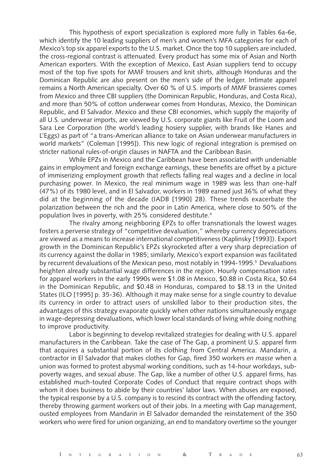This hypothesis of export specialization is explored more fully in Tables 6a-6e, which identify the 10 leading suppliers of men's and women's MFA categories for each of Mexico's top six apparel exports to the U.S. market. Once the top 10 suppliers are included, the cross-regional contrast is attenuated. Every product has some mix of Asian and North American exporters. With the exception of Mexico, East Asian suppliers tend to occupy most of the top five spots for MMF trousers and knit shirts, although Honduras and the Dominican Republic are also present on the men's side of the ledger. Intimate apparel remains a North American specialty. Over 60 % of U.S. imports of MMF brassieres comes from Mexico and three CBI suppliers (the Dominican Republic, Honduras, and Costa Rica), and more than 50% of cotton underwear comes from Honduras, Mexico, the Dominican Republic, and El Salvador. Mexico and these CBI economies, which supply the majority of all U.S. underwear imports, are viewed by U.S. corporate giants like Fruit of the Loom and Sara Lee Corporation (the world's leading hosiery supplier, with brands like Hanes and L'Eggs) as part of "a trans-American alliance to take on Asian underwear manufacturers in world markets" (Coleman [1995]). This new logic of regional integration is premised on stricter national rules-of-origin clauses in NAFTA and the Caribbean Basin.

While EPZs in Mexico and the Caribbean have been associated with undeniable gains in employment and foreign exchange earnings, these benefits are offset by a picture of immiserizing employment growth that reflects falling real wages and a decline in local purchasing power. In Mexico, the real minimum wage in 1989 was less than one-half (47%) of its 1980 level, and in El Salvador, workers in 1989 earned just 36% of what they did at the beginning of the decade (IADB [1990] 28). These trends exacerbate the polarization between the rich and the poor in Latin America, where close to 50% of the population lives in poverty, with 25% considered destitute.4

The rivalry among neighboring EPZs to offer transnationals the lowest wages fosters a perverse strategy of "competitive devaluation," whereby currency depreciations are viewed as a means to increase international competitiveness (Kaplinsky [1993]). Export growth in the Dominican Republic's EPZs skyrocketed after a very sharp depreciation of its currency against the dollar in 1985; similarly, Mexico's export expansion was facilitated by recurrent devaluations of the Mexican peso, most notably in 1994-1995.<sup>5</sup> Devaluations heighten already substantial wage differences in the region. Hourly compensation rates for apparel workers in the early 1990s were \$1.08 in Mexico, \$0.88 in Costa Rica, \$0.64 in the Dominican Republic, and \$0.48 in Honduras, compared to \$8.13 in the United States (ILO [1995] p. 35-36). Although it may make sense for a single country to devalue its currency in order to attract users of unskilled labor to their production sites, the advantages of this strategy evaporate quickly when other nations simultaneously engage in wage-depressing devaluations, which lower local standards of living while doing nothing to improve productivity.

Labor is beginning to develop revitalized strategies for dealing with U.S. apparel manufacturers in the Caribbean. Take the case of The Gap, a prominent U.S. apparel firm that acquires a substantial portion of its clothing from Central America. Mandarin, a contractor in El Salvador that makes clothes for Gap, fired 350 workers *en masse* when a union was formed to protest abysmal working conditions, such as 14-hour workdays, subpoverty wages, and sexual abuse. The Gap, like a number of other U.S. apparel firms, has established much-touted Corporate Codes of Conduct that require contract shops with whom it does business to abide by their countries' labor laws. When abuses are exposed, the typical response by a U.S. company is to rescind its contract with the offending factory, thereby throwing garment workers out of their jobs. In a meeting with Gap management, ousted employees from Mandarin in El Salvador demanded the reinstatement of the 350 workers who were fired for union organizing, an end to mandatory overtime so the younger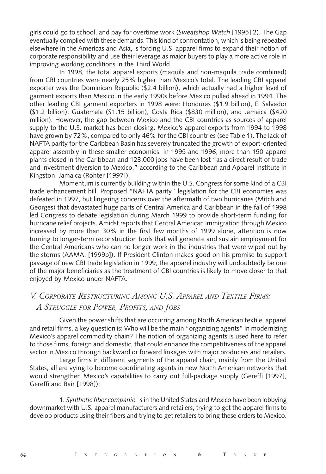girls could go to school, and pay for overtime work (*Sweatshop Watch* [1995] 2). The Gap eventually complied with these demands. This kind of confrontation, which is being repeated elsewhere in the Americas and Asia, is forcing U.S. apparel firms to expand their notion of corporate responsibility and use their leverage as major buyers to play a more active role in improving working conditions in the Third World.

In 1998, the total apparel exports (maquila and non-maquila trade combined) from CBI countries were nearly 25% higher than Mexico's total. The leading CBI apparel exporter was the Dominican Republic (\$2.4 billion), which actually had a higher level of garment exports than Mexico in the early 1990s before Mexico pulled ahead in 1994. The other leading CBI garment exporters in 1998 were: Honduras (\$1.9 billion), El Salvador (\$1.2 billion), Guatemala (\$1.15 billion), Costa Rica (\$830 million), and Jamaica (\$420 million). However, the gap between Mexico and the CBI countries as sources of apparel supply to the U.S. market has been closing. Mexico's apparel exports from 1994 to 1998 have grown by 72%, compared to only 46% for the CBI countries (see Table 1). The lack of NAFTA parity for the Caribbean Basin has severely truncated the growth of export-oriented apparel assembly in these smaller economies. In 1995 and 1996, more than 150 apparel plants closed in the Caribbean and 123,000 jobs have been lost "as a direct result of trade and investment diversion to Mexico," according to the Caribbean and Apparel Institute in Kingston, Jamaica (Rohter [1997]).

Momentum is currently building within the U.S. Congress for some kind of a CBI trade enhancement bill. Proposed "NAFTA parity" legislation for the CBI economies was defeated in 1997, but lingering concerns over the aftermath of two hurricanes (Mitch and Georges) that devastated huge parts of Central America and Caribbean in the fall of 1998 led Congress to debate legislation during March 1999 to provide short-term funding for hurricane relief projects. Amidst reports that Central American immigration through Mexico increased by more than 30% in the first few months of 1999 alone, attention is now turning to longer-term reconstruction tools that will generate and sustain employment for the Central Americans who can no longer work in the industries that were wiped out by the storms (AAMA, [1999b]). If President Clinton makes good on his promise to support passage of new CBI trade legislation in 1999, the apparel industry will undoubtedly be one of the major beneficiaries as the treatment of CBI countries is likely to move closer to that enjoyed by Mexico under NAFTA.

# *V. CORPORATE RESTRUCTURING AMONG U.S. APPAREL AND TEXTILE FIRMS: A STRUGGLE FOR POWER, PROFITS, AND JOBS*

Given the power shifts that are occurring among North American textile, apparel and retail firms, a key question is: Who will be the main "organizing agents" in modernizing Mexico's apparel commodity chain? The notion of organizing agents is used here to refer to those firms, foreign and domestic, that could enhance the competitiveness of the apparel sector in Mexico through backward or forward linkages with major producers and retailers.

Large firms in different segments of the apparel chain, mainly from the United States, all are vying to become coordinating agents in new North American networks that would strengthen Mexico's capabilities to carry out full-package supply (Gereffi [1997], Gereffi and Bair [1998]):

1. *Synthetic fiber companie s* in the United States and Mexico have been lobbying downmarket with U.S. apparel manufacturers and retailers, trying to get the apparel firms to develop products using their fibers and trying to get retailers to bring these orders to Mexico.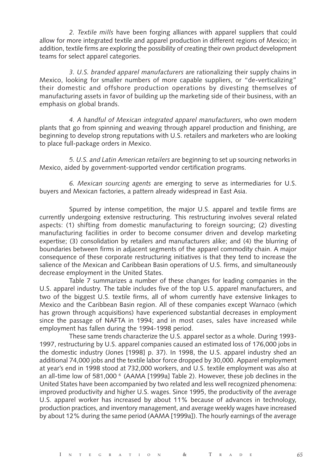*2. Textile mills* have been forging alliances with apparel suppliers that could allow for more integrated textile and apparel production in different regions of Mexico; in addition, textile firms are exploring the possibility of creating their own product development teams for select apparel categories.

*3. U.S. branded apparel manufacturers* are rationalizing their supply chains in Mexico, looking for smaller numbers of more capable suppliers, or "de-verticalizing" their domestic and offshore production operations by divesting themselves of manufacturing assets in favor of building up the marketing side of their business, with an emphasis on global brands.

*4. A handful of Mexican integrated apparel manufacturers*, who own modern plants that go from spinning and weaving through apparel production and finishing, are beginning to develop strong reputations with U.S. retailers and marketers who are looking to place full-package orders in Mexico.

*5. U.S. and Latin American retailers* are beginning to set up sourcing networks in Mexico, aided by government-supported vendor certification programs.

*6. Mexican sourcing agents* are emerging to serve as intermediaries for U.S. buyers and Mexican factories, a pattern already widespread in East Asia.

Spurred by intense competition, the major U.S. apparel and textile firms are currently undergoing extensive restructuring. This restructuring involves several related aspects: (1) shifting from domestic manufacturing to foreign sourcing; (2) divesting manufacturing facilities in order to become consumer driven and develop marketing expertise; (3) consolidation by retailers and manufacturers alike; and (4) the blurring of boundaries between firms in adjacent segments of the apparel commodity chain. A major consequence of these corporate restructuring initiatives is that they tend to increase the salience of the Mexican and Caribbean Basin operations of U.S. firms, and simultaneously decrease employment in the United States.

Table 7 summarizes a number of these changes for leading companies in the U.S. apparel industry. The table includes five of the top U.S. apparel manufacturers, and two of the biggest U.S. textile firms, all of whom currently have extensive linkages to Mexico and the Caribbean Basin region. All of these companies except Warnaco (which has grown through acquisitions) have experienced substantial decreases in employment since the passage of NAFTA in 1994; and in most cases, sales have increased while employment has fallen during the 1994-1998 period.

These same trends characterize the U.S. apparel sector as a whole. During 1993- 1997, restructuring by U.S. apparel companies caused an estimated loss of 176,000 jobs in the domestic industry (Jones [1998] p. 37). In 1998, the U.S. apparel industry shed an additional 74,000 jobs and the textile labor force dropped by 30,000. Apparel employment at year's end in 1998 stood at 732,000 workers, and U.S. textile employment was also at an all-time low of 581,000  $\degree$  (AAMA [1999a] Table 2). However, these job declines in the United States have been accompanied by two related and less well recognized phenomena: improved productivity and higher U.S. wages. Since 1995, the productivity of the average U.S. apparel worker has increased by about 11% because of advances in technology, production practices, and inventory management, and average weekly wages have increased by about 12% during the same period (AAMA [1999a]). The hourly earnings of the average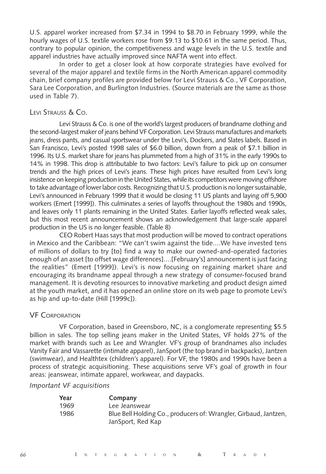U.S. apparel worker increased from \$7.34 in 1994 to \$8.70 in February 1999, while the hourly wages of U.S. textile workers rose from \$9.13 to \$10.61 in the same period. Thus, contrary to popular opinion, the competitiveness and wage levels in the U.S. textile and apparel industries have actually improved since NAFTA went into effect.

In order to get a closer look at how corporate strategies have evolved for several of the major apparel and textile firms in the North American apparel commodity chain, brief company profiles are provided below for Levi Strauss & Co., VF Corporation, Sara Lee Corporation, and Burlington Industries. (Source materials are the same as those used in Table 7).

### LEVI STRAUSS & CO.

Levi Strauss & Co. is one of the world's largest producers of brandname clothing and the second-largest maker of jeans behind VF Corporation. Levi Strauss manufactures and markets jeans, dress pants, and casual sportswear under the Levi's, Dockers, and Slates labels. Based in San Francisco, Levi's posted 1998 sales of \$6.0 billion, down from a peak of \$7.1 billion in 1996. Its U.S. market share for jeans has plummeted from a high of 31% in the early 1990s to 14% in 1998. This drop is attributable to two factors: Levi's failure to pick up on consumer trends and the high prices of Levi's jeans. These high prices have resulted from Levi's long insistence on keeping production in the United States, while its competitors were moving offshore to take advantage of lower labor costs. Recognizing that U.S. production is no longer sustainable, Levi's announced in February 1999 that it would be closing 11 US plants and laying off 5,900 workers (Emert [1999]). This culminates a series of layoffs throughout the 1980s and 1990s, and leaves only 11 plants remaining in the United States. Earlier layoffs reflected weak sales, but this most recent announcement shows an acknowledgement that large-scale apparel production in the US is no longer feasible. (Table 8)

CEO Robert Haas says that most production will be moved to contract operations in Mexico and the Caribbean: "We can't swim against the tide....We have invested tens of millions of dollars to try [to] find a way to make our owned-and-operated factories enough of an asset [to offset wage differences]....[February's] announcement is just facing the realities" (Emert [1999]). Levi's is now focusing on regaining market share and encouraging its brandname appeal through a new strategy of consumer-focused brand management. It is devoting resources to innovative marketing and product design aimed at the youth market, and it has opened an online store on its web page to promote Levi's as hip and up-to-date (Hill [1999c]).

#### VF CORPORATION

VF Corporation, based in Greensboro, NC, is a conglomerate representing \$5.5 billion in sales. The top selling jeans maker in the United States, VF holds 27% of the market with brands such as Lee and Wrangler. VF's group of brandnames also includes Vanity Fair and Vassarette (intimate apparel), JanSport (the top brand in backpacks), Jantzen (swimwear), and Healthtex (children's apparel). For VF, the 1980s and 1990s have been a process of strategic acquisitioning. These acquisitions serve VF's goal of growth in four areas: jeanswear, intimate apparel, workwear, and daypacks.

#### *Important VF acquisitions*

| Year | Company                                                          |
|------|------------------------------------------------------------------|
| 1969 | Lee Jeanswear                                                    |
| 1986 | Blue Bell Holding Co., producers of: Wrangler, Girbaud, Jantzen, |
|      | JanSport, Red Kap                                                |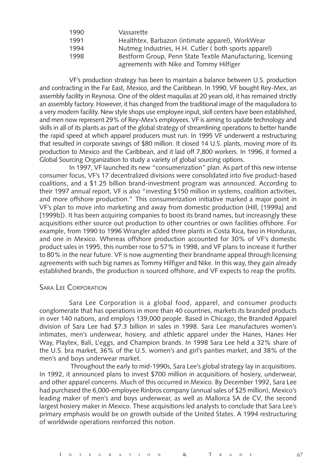| 1990 | Vassarette                                                  |
|------|-------------------------------------------------------------|
| 1991 | Healthtex, Barbazon (intimate apparel), WorkWear            |
| 1994 | Nutmeg Industries, H.H. Cutler (both sports apparel)        |
| 1998 | Bestform Group, Penn State Textile Manufacturing, licensing |
|      | agreements with Nike and Tommy Hilfiger                     |

VF's production strategy has been to maintain a balance between U.S. production and contracting in the Far East, Mexico, and the Caribbean. In 1990, VF bought Rey-Mex, an assembly facility in Reynosa. One of the oldest maquilas at 20 years old, it has remained strictly an assembly factory. However, it has changed from the traditional image of the maquiladora to a very modern facility. New style shops use employee input, skill centers have been established, and men now represent 29% of Rey-Mex's employees. VF is aiming to update technology and skills in all of its plants as part of the global strategy of streamlining operations to better handle the rapid speed at which apparel producers must run. In 1995 VF underwent a restructuring that resulted in corporate savings of \$80 million. It closed 14 U.S. plants, moving more of its production to Mexico and the Caribbean, and it laid off 7,800 workers. In 1996, it formed a Global Sourcing Organization to study a variety of global sourcing options.

In 1997, VF launched its new "consumerization" plan. As part of this new intense consumer focus, VF's 17 decentralized divisions were consolidated into five product-based coalitions, and a \$1.25 billion brand-investment program was announced. According to their 1997 annual report, VF is also "investing \$150 million in systems, coalition activities, and more offshore production." This consumerization initiative marked a major point in VF's plan to move into marketing and away from domestic production (Hill, [1999a] and [1999b]). It has been acquiring companies to boost its brand names, but increasingly these acquisitions either source out production to other countries or own facilities offshore. For example, from 1990 to 1996 Wrangler added three plants in Costa Rica, two in Honduras, and one in Mexico. Whereas offshore production accounted for 30% of VF's domestic product sales in 1995, this number rose to 57% in 1998, and VF plans to increase it further to 80% in the near future. VF is now augmenting their brandname appeal through licensing agreements with such big names as Tommy Hilfiger and Nike. In this way, they gain already established brands, the production is sourced offshore, and VF expects to reap the profits.

#### SARA LEE CORPORATION

Sara Lee Corporation is a global food, apparel, and consumer products conglomerate that has operations in more than 40 countries, markets its branded products in over 140 nations, and employs 139,000 people. Based in Chicago, the Branded Apparel division of Sara Lee had \$7.3 billion in sales in 1998. Sara Lee manufactures women's intimates, men's underwear, hosiery, and athletic apparel under the Hanes, Hanes Her Way, Playtex, Bali, L'eggs, and Champion brands. In 1998 Sara Lee held a 32% share of the U.S. bra market, 36% of the U.S. women's and girl's panties market, and 38% of the men's and boys underwear market.

 Throughout the early to mid-1990s, Sara Lee's global strategy lay in acquisitions. In 1992, it announced plans to invest \$700 million in acquisitions of hosiery, underwear, and other apparel concerns. Much of this occurred in Mexico. By December 1992, Sara Lee had purchased the 6,000-employee Rinbros company (annual sales of \$25 million), Mexico's leading maker of men's and boys underwear, as well as Mallorca SA de CV, the second largest hosiery maker in Mexico. These acquisitions led analysts to conclude that Sara Lee's primary emphasis would be on growth outside of the United States. A 1994 restructuring of worldwide operations reinforced this notion.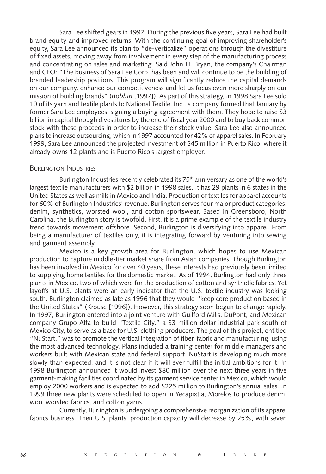Sara Lee shifted gears in 1997. During the previous five years, Sara Lee had built brand equity and improved returns. With the continuing goal of improving shareholder's equity, Sara Lee announced its plan to "de-verticalize" operations through the divestiture of fixed assets, moving away from involvement in every step of the manufacturing process and concentrating on sales and marketing. Said John H. Bryan, the company's Chairman and CEO: "The business of Sara Lee Corp. has been and will continue to be the building of branded leadership positions. This program will significantly reduce the capital demands on our company, enhance our competitiveness and let us focus even more sharply on our mission of building brands" (*Bobbin* [1997]). As part of this strategy, in 1998 Sara Lee sold 10 of its yarn and textile plants to National Textile, Inc., a company formed that January by former Sara Lee employees, signing a buying agreement with them. They hope to raise \$3 billion in capital through divestitures by the end of fiscal year 2000 and to buy back common stock with these proceeds in order to increase their stock value. Sara Lee also announced plans to increase outsourcing, which in 1997 accounted for 42% of apparel sales. In February 1999, Sara Lee announced the projected investment of \$45 million in Puerto Rico, where it already owns 12 plants and is Puerto Rico's largest employer.

#### BURLINGTON INDUSTRIES

Burlington Industries recently celebrated its 75<sup>th</sup> anniversary as one of the world's largest textile manufacturers with \$2 billion in 1998 sales. It has 29 plants in 6 states in the United States as well as mills in Mexico and India. Production of textiles for apparel accounts for 60% of Burlington Industries' revenue. Burlington serves four major product categories: denim, synthetics, worsted wool, and cotton sportswear. Based in Greensboro, North Carolina, the Burlington story is twofold. First, it is a prime example of the textile industry trend towards movement offshore. Second, Burlington is diversifying into apparel. From being a manufacturer of textiles only, it is integrating forward by venturing into sewing and garment assembly.

Mexico is a key growth area for Burlington, which hopes to use Mexican production to capture middle-tier market share from Asian companies. Though Burlington has been involved in Mexico for over 40 years, these interests had previously been limited to supplying home textiles for the domestic market. As of 1994, Burlington had only three plants in Mexico, two of which were for the production of cotton and synthetic fabrics. Yet layoffs at U.S. plants were an early indicator that the U.S. textile industry was looking south. Burlington claimed as late as 1996 that they would "keep core production based in the United States" (Krouse [1996]). However, this strategy soon began to change rapidly. In 1997, Burlington entered into a joint venture with Guilford Mills, DuPont, and Mexican company Grupo Alfa to build "Textile City," a \$3 million dollar industrial park south of Mexico City, to serve as a base for U.S. clothing producers. The goal of this project, entitled "NuStart," was to promote the vertical integration of fiber, fabric and manufacturing, using the most advanced technology. Plans included a training center for middle managers and workers built with Mexican state and federal support. NuStart is developing much more slowly than expected, and it is not clear if it will ever fulfill the initial ambitions for it. In 1998 Burlington announced it would invest \$80 million over the next three years in five garment-making facilities coordinated by its garment service center in Mexico, which would employ 2000 workers and is expected to add \$225 million to Burlington's annual sales. In 1999 three new plants were scheduled to open in Yecapixtla, Morelos to produce denim, wool worsted fabrics, and cotton yarns.

Currently, Burlington is undergoing a comprehensive reorganization of its apparel fabrics business. Their U.S. plants' production capacity will decrease by 25%, with seven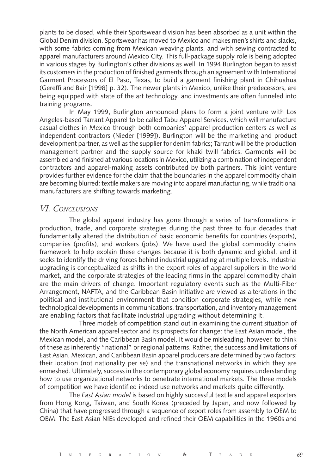plants to be closed, while their Sportswear division has been absorbed as a unit within the Global Denim division. Sportswear has moved to Mexico and makes men's shirts and slacks, with some fabrics coming from Mexican weaving plants, and with sewing contracted to apparel manufacturers around Mexico City. This full-package supply role is being adopted in various stages by Burlington's other divisions as well. In 1994 Burlington began to assist its customers in the production of finished garments through an agreement with International Garment Processors of El Paso, Texas, to build a garment finishing plant in Chihuahua (Gereffi and Bair [1998] p. 32). The newer plants in Mexico, unlike their predecessors, are being equipped with state of the art technology, and investments are often funneled into training programs.

In May 1999, Burlington announced plans to form a joint venture with Los Angeles-based Tarrant Apparel to be called Tabu Apparel Services, which will manufacture casual clothes in Mexico through both companies' apparel production centers as well as independent contractors (Nieder [1999]). Burlington will be the marketing and product development partner, as well as the supplier for denim fabrics; Tarrant will be the production management partner and the supply source for khaki twill fabrics. Garments will be assembled and finished at various locations in Mexico, utilizing a combination of independent contractors and apparel-making assets contributed by both partners. This joint venture provides further evidence for the claim that the boundaries in the apparel commodity chain are becoming blurred: textile makers are moving into apparel manufacturing, while traditional manufacturers are shifting towards marketing.

### *VI. CONCLUSIONS*

The global apparel industry has gone through a series of transformations in production, trade, and corporate strategies during the past three to four decades that fundamentally altered the distribution of basic economic benefits for countries (exports), companies (profits), and workers (jobs). We have used the global commodity chains framework to help explain these changes because it is both dynamic and global, and it seeks to identify the driving forces behind industrial upgrading at multiple levels. Industrial upgrading is conceptualized as shifts in the export roles of apparel suppliers in the world market, and the corporate strategies of the leading firms in the apparel commodity chain are the main drivers of change. Important regulatory events such as the Multi-Fiber Arrangement, NAFTA, and the Caribbean Basin Initiative are viewed as alterations in the political and institutional environment that condition corporate strategies, while new technological developments in communications, transportation, and inventory management are enabling factors that facilitate industrial upgrading without determining it.

Three models of competition stand out in examining the current situation of the North American apparel sector and its prospects for change: the East Asian model, the Mexican model, and the Caribbean Basin model. It would be misleading, however, to think of these as inherently "national" or regional patterns. Rather, the success and limitations of East Asian, Mexican, and Caribbean Basin apparel producers are determined by two factors: their location (not nationality per se) and the transnational networks in which they are enmeshed. Ultimately, success in the contemporary global economy requires understanding how to use organizational networks to penetrate international markets. The three models of competition we have identified indeed use networks and markets quite differently.

The *East Asian model* is based on highly successful textile and apparel exporters from Hong Kong, Taiwan, and South Korea (preceded by Japan, and now followed by China) that have progressed through a sequence of export roles from assembly to OEM to OBM. The East Asian NIEs developed and refined their OEM capabilities in the 1960s and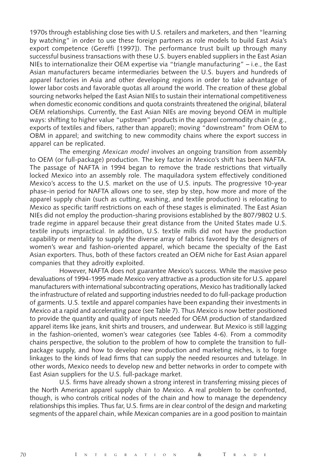1970s through establishing close ties with U.S. retailers and marketers, and then "learning by watching" in order to use these foreign partners as role models to build East Asia's export competence (Gereffi [1997]). The performance trust built up through many successful business transactions with these U.S. buyers enabled suppliers in the East Asian NIEs to internationalize their OEM expertise via "triangle manufacturing" – i.e., the East Asian manufacturers became intermediaries between the U.S. buyers and hundreds of apparel factories in Asia and other developing regions in order to take advantage of lower labor costs and favorable quotas all around the world. The creation of these global sourcing networks helped the East Asian NIEs to sustain their international competitiveness when domestic economic conditions and quota constraints threatened the original, bilateral OEM relationships. Currently, the East Asian NIEs are moving beyond OEM in multiple ways: shifting to higher value "upstream" products in the apparel commodity chain (e.g., exports of textiles and fibers, rather than apparel); moving "downstream" from OEM to OBM in apparel; and switching to new commodity chains where the export success in apparel can be replicated.

The emerging *Mexican model* involves an ongoing transition from assembly to OEM (or full-package) production. The key factor in Mexico's shift has been NAFTA. The passage of NAFTA in 1994 began to remove the trade restrictions that virtually locked Mexico into an assembly role. The maquiladora system effectively conditioned Mexico's access to the U.S. market on the use of U.S. inputs. The progressive 10-year phase-in period for NAFTA allows one to see, step by step, how more and more of the apparel supply chain (such as cutting, washing, and textile production) is relocating to Mexico as specific tariff restrictions on each of these stages is eliminated. The East Asian NIEs did not employ the production-sharing provisions established by the 807/9802 U.S. trade regime in apparel because their great distance from the United States made U.S. textile inputs impractical. In addition, U.S. textile mills did not have the production capability or mentality to supply the diverse array of fabrics favored by the designers of women's wear and fashion-oriented apparel, which became the specialty of the East Asian exporters. Thus, both of these factors created an OEM niche for East Asian apparel companies that they adroitly exploited.

However, NAFTA does not guarantee Mexico's success. While the massive peso devaluations of 1994-1995 made Mexico very attractive as a production site for U.S. apparel manufacturers with international subcontracting operations, Mexico has traditionally lacked the infrastructure of related and supporting industries needed to do full-package production of garments. U.S. textile and apparel companies have been expanding their investments in Mexico at a rapid and accelerating pace (see Table 7). Thus Mexico is now better positioned to provide the quantity and quality of inputs needed for OEM production of standardized apparel items like jeans, knit shirts and trousers, and underwear. But Mexico is still lagging in the fashion-oriented, women's wear categories (see Tables 4-6). From a commodity chains perspective, the solution to the problem of how to complete the transition to fullpackage supply, and how to develop new production and marketing niches, is to forge linkages to the kinds of lead firms that can supply the needed resources and tutelage. In other words, Mexico needs to develop new and better networks in order to compete with East Asian suppliers for the U.S. full-package market.

U.S. firms have already shown a strong interest in transferring missing pieces of the North American apparel supply chain to Mexico. A real problem to be confronted, though, is who controls critical nodes of the chain and how to manage the dependency relationships this implies. Thus far, U.S. firms are in clear control of the design and marketing segments of the apparel chain, while Mexican companies are in a good position to maintain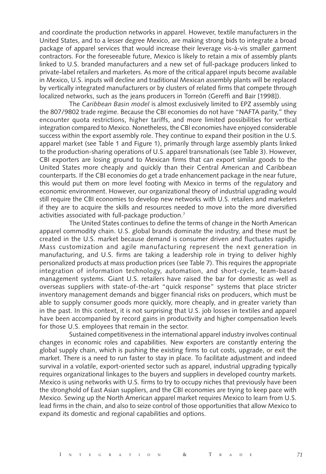and coordinate the production networks in apparel. However, textile manufacturers in the United States, and to a lesser degree Mexico, are making strong bids to integrate a broad package of apparel services that would increase their leverage vis-à-vis smaller garment contractors. For the foreseeable future, Mexico is likely to retain a mix of assembly plants linked to U.S. branded manufacturers and a new set of full-package producers linked to private-label retailers and marketers. As more of the critical apparel inputs become available in Mexico, U.S. inputs will decline and traditional Mexican assembly plants will be replaced by vertically integrated manufacturers or by clusters of related firms that compete through localized networks, such as the jeans producers in Torreón (Gereffi and Bair [1998]).

The *Caribbean Basin model* is almost exclusively limited to EPZ assembly using the 807/9802 trade regime. Because the CBI economies do not have "NAFTA parity," they encounter quota restrictions, higher tariffs, and more limited possibilities for vertical integration compared to Mexico. Nonetheless, the CBI economies have enjoyed considerable success within the export assembly role. They continue to expand their position in the U.S. apparel market (see Table 1 and Figure 1), primarily through large assembly plants linked to the production-sharing operations of U.S. apparel transnationals (see Table 3). However, CBI exporters are losing ground to Mexican firms that can export similar goods to the United States more cheaply and quickly than their Central American and Caribbean counterparts. If the CBI economies do get a trade enhancement package in the near future, this would put them on more level footing with Mexico in terms of the regulatory and economic environment. However, our organizational theory of industrial upgrading would still require the CBI economies to develop new networks with U.S. retailers and marketers if they are to acquire the skills and resources needed to move into the more diversified activities associated with full-package production.7

The United States continues to define the terms of change in the North American apparel commodity chain. U.S. global brands dominate the industry, and these must be created in the U.S. market because demand is consumer driven and fluctuates rapidly. Mass customization and agile manufacturing represent the next generation in manufacturing, and U.S. firms are taking a leadership role in trying to deliver highly personalized products at mass production prices (see Table 7). This requires the appropriate integration of information technology, automation, and short-cycle, team-based management systems. Giant U.S. retailers have raised the bar for domestic as well as overseas suppliers with state-of-the-art "quick response" systems that place stricter inventory management demands and bigger financial risks on producers, which must be able to supply consumer goods more quickly, more cheaply, and in greater variety than in the past. In this context, it is not surprising that U.S. job losses in textiles and apparel have been accompanied by record gains in productivity and higher compensation levels for those U.S. employees that remain in the sector.

Sustained competitiveness in the international apparel industry involves continual changes in economic roles and capabilities. New exporters are constantly entering the global supply chain, which is pushing the existing firms to cut costs, upgrade, or exit the market. There is a need to run faster to stay in place. To facilitate adjustment and indeed survival in a volatile, export-oriented sector such as apparel, industrial upgrading typically requires organizational linkages to the buyers and suppliers in developed country markets. Mexico is using networks with U.S. firms to try to occupy niches that previously have been the stronghold of East Asian suppliers, and the CBI economies are trying to keep pace with Mexico. Sewing up the North American apparel market requires Mexico to learn from U.S. lead firms in the chain, and also to seize control of those opportunities that allow Mexico to expand its domestic and regional capabilities and options.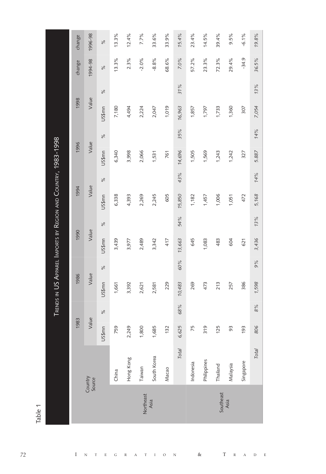|           |                   |                       |               | TRENDS IN US APPAREL IMPORTS BY REGION AND COUNTRY, 1983-1998 |               |        |               |                    |      |        |               |        |               |             |         |
|-----------|-------------------|-----------------------|---------------|---------------------------------------------------------------|---------------|--------|---------------|--------------------|------|--------|---------------|--------|---------------|-------------|---------|
|           |                   | 1983                  |               | 1986                                                          |               | 1990   |               | 1994               |      | 1996   |               | 1998   |               | change      | change  |
|           | Country<br>Source | Value                 |               | Value                                                         |               | Value  |               | Value              |      | Value  |               | Value  |               | 1994-98     | 1996-98 |
|           |                   | US\$mn                | $\frac{5}{6}$ | US\$mn                                                        | $\frac{5}{6}$ | US\$mn | $\frac{5}{6}$ | US\$ <sub>mn</sub> | $\%$ | US\$mn | $\frac{5}{6}$ | US\$mn | $\frac{5}{6}$ | $\geqslant$ | $\%$    |
|           | China             | 759                   |               | 1,661                                                         |               | 3,439  |               | 6,338              |      | 6,340  |               | 7,180  |               | 13.3%       | 13.3%   |
|           | Hong Kong         | 249<br>$\sim$         |               | 3,392                                                         |               | 3,977  |               | 4,393              |      | 3,998  |               | 4,494  |               | $2.3\%$     | 12.4%   |
| Northeast | Taiwan            | 800<br>$\overline{ }$ |               | 2,621                                                         |               | 2,489  |               | 2,269              |      | 2,066  |               | 2,224  |               | $-2.0%$     | 7.7%    |
| Asia      | South Korea       | 685                   |               | 2,581                                                         |               | 3,342  |               | 2,245              |      | 1,531  |               | 2,047  |               | $-8.8%$     | 33.6%   |
|           | Масао             | 132                   |               | 229                                                           |               | 417    |               | 605                |      | 761    |               | 1,019  |               | 68.6%       | 33.9%   |
|           | <b>Total</b>      | 625<br>$\circ$        | 68%           | 10,483                                                        | 60%           | 13,663 | 54%           | 15,850             | 43%  | 14,696 | 35%           | 16,963 | 31%           | 7.0%        | 15.4%   |
|           | Indonesia         | 75                    |               | 269                                                           |               | 645    |               | 1,182              |      | 1,505  |               | 1,857  |               | 57.2%       | 23.4%   |
|           | Philippines       | 319                   |               | 473                                                           |               | 1,083  |               | 1,457              |      | 1,569  |               | 1,797  |               | 23.3%       | 14.5%   |
| Southeast | Thailand          | 125                   |               | 213                                                           |               | 483    |               | 1,006              |      | 1,243  |               | 1,733  |               | 72.3%       | 39.4%   |
| Asia      | Malaysia          | 93                    |               | 257                                                           |               | 604    |               | 1,051              |      | 1,242  |               | 1,360  |               | 29.4%       | 9.5%    |
|           | Singapore         | 193                   |               | 386                                                           |               | 621    |               | 472                |      | 327    |               | 307    |               | $-34.9$     | $-6.1%$ |
|           | Total             | 806                   | $\frac{9}{6}$ | 1,598                                                         | 660           | 3,436  | 13%           | 5,168              | 14%  | 5.887  | 14%           | 7,054  | 13%           | 36.5%       | 19.8%   |

 $\bar{\rm I}$  $\overline{N}$  $\&$  $\mathbf T$  $\circ$  $\overline{E}$  $\overline{N}$ T  $\overline{E}$  ${\bf G}$  $\mathbb R$  $\overline{A}$  $\overline{T}$  $\bar{\rm I}$  $\overline{\mathbb{R}}$  $\overline{A}$  $\mathbf D$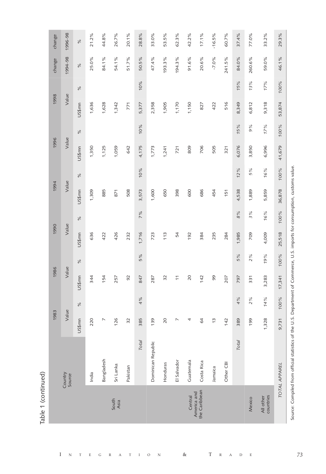| ı |
|---|
| ۳ |
| Ì |
|   |
|   |

 $\bar{\rm I}$  $\overline{N}$  $\mathbf T$  $\mathop{\hbox{\bf E}}$  ${\rm G}$  $\mathbb{R}$   $_{\rm T}$ 

 $\rm I$ 

 $\mathbf A$ 

 $\circ$  $\overline{N}$   $\&$ 

 $\overline{T}$  $\bar{\text{R}}$   $\mathbf A$  $\,$  D  $\mathbf E$ 

| change | 1996-98           | $\%$   | $21.2\%$ | 44.8%      | 26.7%         | 20.1%    | 28.8%        | 33.0%              | 53.5%    | 62.3%          | 42.2%     | 17.1%                        | $-16.5%$      | 60.7%     | 37.4% | 77.0%  | 33.2%                  | 29.3%         |
|--------|-------------------|--------|----------|------------|---------------|----------|--------------|--------------------|----------|----------------|-----------|------------------------------|---------------|-----------|-------|--------|------------------------|---------------|
| change | 1994-98           | $\%$   | 25.0%    | 84.1%      | 54.1%         | 51.7%    | 50.5%        | 47.4%              | 193.3%   | 194.3%         | 91.6%     | 20.6%                        | $-7.0\%$      | 241.5%    | 84.0% | 260.6% | 59.0%                  | 46.1%         |
|        |                   | $\%$   |          |            |               |          | 10%          |                    |          |                |           |                              |               |           | 15%   | 13%    | 17%                    | 100%          |
| 1998   | Value             | US\$mn | 1,636    | 1,628      | 1,342         | 771      | 5,377        | 2,358              | 1,905    | 1,170          | 1,150     | 827                          | 422           | 516       | 8,349 | 6,812  | 9,318                  | 53,874        |
|        |                   | $\%$   |          |            |               |          | 10%          |                    |          |                |           |                              |               |           | 15%   | 9%     | 17%                    | 100%          |
| 1996   | Value             | US\$mn | 1,350    | 1,125      | 1,059         | 642      | 4,175        | 1,773              | 1,241    | 721            | 809       | 706                          | 505           | 321       | 6,076 | 3,850  | 6,996                  | 41,679        |
|        |                   | $\%$   |          |            |               |          | 10%          |                    |          |                |           |                              |               |           | 12%   | 5%     | 16%                    | 100%          |
| 1994   | Value             | US\$mn | 1,309    | 885        | 871           | 508      | 3,573        | 1,600              | 650      | 398            | 600       | 686                          | 454           | 151       | 4,538 | 1,889  | 5,859                  | 36,878        |
|        |                   | $\%$   |          |            |               |          | 7%           |                    |          |                |           |                              |               |           | 8%    | 3%     | 16%                    | 100%          |
| 1990   | Value             | US\$mn | 636      | 422        | 426           | 232      | 1,716        | 723                | 113      | 54             | 192       | 384                          | 235           | 284       | 1,985 | 709    | 4,009                  | 25,518        |
|        |                   | $\%$   |          |            |               |          | 5%           |                    |          |                |           |                              |               |           | 5%    | 2%     | 19%                    | 100%          |
| 1986   | Value             | US\$mn | 344      | 154        | 257           | 92       | 847          | 287                | 32       | $\overline{1}$ | 20        | 142                          | 99            | 207       | 797   | 331    | 3,283                  | 17,341        |
|        |                   | $\%$   |          |            |               |          | 4%           |                    |          |                |           |                              |               |           | 4%    | 2%     | 14%                    | 100%          |
| 1983   | Value             | US\$mn | 220      | $\sim$     | 126           | 32       | 385          | 139                | 20       | ↖              | 4         | 64                           | $\frac{1}{2}$ | 142       | 389   | 199    | 1,328                  | 9,731         |
|        |                   |        |          |            |               |          | <b>Total</b> |                    |          |                |           |                              |               |           | Total |        |                        |               |
|        | Country<br>Source |        | India    | Bangladesh | Sri Lanka     | Pakistan |              | Dominican Republic | Honduras | El Salvador    | Guatemala | Costa Rica                   | Jamaica       | Other CBI |       |        |                        | TOTAL APPAREL |
|        |                   |        |          |            | South<br>Asia |          |              |                    |          |                | Central   | the Caribbean<br>America and |               |           |       | Mexico | countries<br>All other |               |
|        |                   |        |          |            |               |          |              |                    |          |                |           |                              |               |           |       |        |                        |               |

Source: Compiled from official statistics of the U.S. Department of Commerce, U.S. imports for consumption, customs value.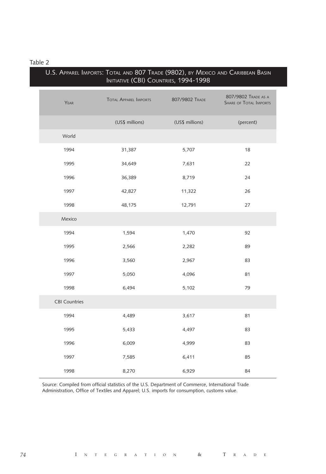|                      | INITIATIVE (CBI) COUNTRIES, 1994-1998 | U.S. Apparel Imports: Total and 807 Trade (9802), by Mexico and Caribbean Basin |                                                      |
|----------------------|---------------------------------------|---------------------------------------------------------------------------------|------------------------------------------------------|
| YEAR                 | <b>TOTAL APPAREL IMPORTS</b>          | 807/9802 TRADE                                                                  | 807/9802 TRADE AS A<br><b>SHARE OF TOTAL IMPORTS</b> |
|                      | (US\$ millions)                       | (US\$ millions)                                                                 | (percent)                                            |
| World                |                                       |                                                                                 |                                                      |
| 1994                 | 31,387                                | 5,707                                                                           | 18                                                   |
| 1995                 | 34,649                                | 7,631                                                                           | 22                                                   |
| 1996                 | 36,389                                | 8,719                                                                           | 24                                                   |
| 1997                 | 42,827                                | 11,322                                                                          | 26                                                   |
| 1998                 | 48,175                                | 12,791                                                                          | 27                                                   |
| Mexico               |                                       |                                                                                 |                                                      |
| 1994                 | 1,594                                 | 1,470                                                                           | 92                                                   |
| 1995                 | 2,566                                 | 2,282                                                                           | 89                                                   |
| 1996                 | 3,560                                 | 2,967                                                                           | 83                                                   |
| 1997                 | 5,050                                 | 4,096                                                                           | 81                                                   |
| 1998                 | 6,494                                 | 5,102                                                                           | 79                                                   |
| <b>CBI Countries</b> |                                       |                                                                                 |                                                      |
| 1994                 | 4,489                                 | 3,617                                                                           | 81                                                   |
| 1995                 | 5,433                                 | 4,497                                                                           | 83                                                   |
| 1996                 | 6,009                                 | 4,999                                                                           | 83                                                   |
| 1997                 | 7,585                                 | 6,411                                                                           | 85                                                   |
| 1998                 | 8,270                                 | 6,929                                                                           | 84                                                   |

Source: Compiled from official statistics of the U.S. Department of Commerce, International Trade Administration, Office of Textiles and Apparel; U.S. imports for consumption, customs value.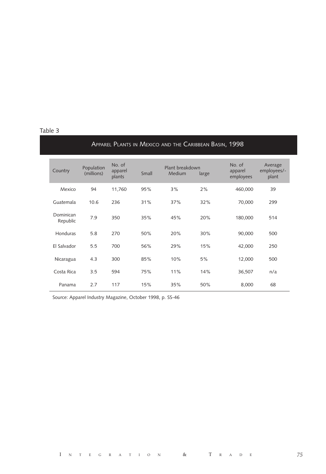|                       |                          |                             |       | APPAREL PLANTS IN MEXICO AND THE CARIBBEAN BASIN, 1998 |       |                                |                                 |
|-----------------------|--------------------------|-----------------------------|-------|--------------------------------------------------------|-------|--------------------------------|---------------------------------|
| Country               | Population<br>(millions) | No. of<br>apparel<br>plants | Small | Plant breakdown<br>Medium                              | large | No. of<br>apparel<br>employees | Average<br>employees/-<br>plant |
| Mexico                | 94                       | 11,760                      | 95%   | 3%                                                     | 2%    | 460,000                        | 39                              |
| Guatemala             | 10.6                     | 236                         | 31%   | 37%                                                    | 32%   | 70,000                         | 299                             |
| Dominican<br>Republic | 7.9                      | 350                         | 35%   | 45%                                                    | 20%   | 180,000                        | 514                             |
| Honduras              | 5.8                      | 270                         | 50%   | 20%                                                    | 30%   | 90,000                         | 500                             |
| El Salvador           | 5.5                      | 700                         | 56%   | 29%                                                    | 15%   | 42,000                         | 250                             |
| Nicaragua             | 4.3                      | 300                         | 85%   | 10%                                                    | 5%    | 12,000                         | 500                             |
| Costa Rica            | 3.5                      | 594                         | 75%   | 11%                                                    | 14%   | 36,507                         | n/a                             |
| Panama                | 2.7                      | 117                         | 15%   | 35%                                                    | 50%   | 8,000                          | 68                              |

Source: Apparel Industry Magazine, October 1998, p. SS-46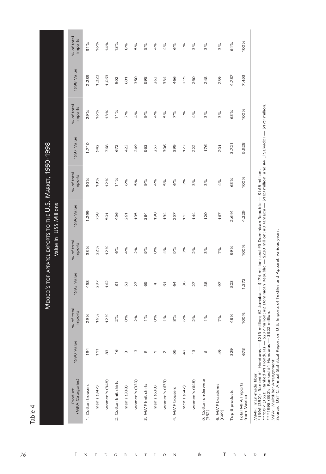MEXICO'S TOP APPAREL EXPORTS TO THE U.S. MARKET, 1990-1998

| (MFA Categories)<br>Product      | 1990 Value     | % of total<br>imports | 1993 Value         | % of total<br>imports | 1996 Value | % of total<br>imports | 1997 Value | % of total<br>imports | 1998 Value | % of total<br>imports |
|----------------------------------|----------------|-----------------------|--------------------|-----------------------|------------|-----------------------|------------|-----------------------|------------|-----------------------|
| 1. Cotton trousers               | 194            | 29%                   | 458                | 33%                   | 1,259      | 30%                   | 1,710      | 29%                   | 2,285      | 31%                   |
| men's (347)                      | 111            | 16%                   | 297                | 22%                   | 758        | 18%                   | 942        | 16%                   | 1,222      | 16%                   |
| women's (348)                    | 83             | 12%                   | 162                | 12%                   | 501        | 12%                   | 768        | 13%                   | 1,063      | 14%                   |
| 2. Cotton knit shirts            | $\frac{6}{2}$  | 2%                    | $\overline{\rm s}$ | 6%                    | 456        | 11%                   | 672        | 11%                   | 952        | 13%                   |
| men's (338)                      | m              | $0\%$                 | 53                 | 4%                    | 261        | 6%                    | 423        | 7%                    | 601        | 8%                    |
| women's (339)                    | $\frac{3}{2}$  | 2%                    | 27                 | 2%                    | 195        | 5%                    | 249        | 4%                    | 350        | 5%                    |
| 3. MMF knit shirts               | Ō              | 1%                    | 65                 | 5%                    | 384        | 9%                    | 563        | 9%                    | 598        | $\frac{8}{6}$         |
| men's (638)                      | ٣              | 0%                    | 4                  | 0%                    | 190        | 4%                    | 257        | 4%                    | 263        | 4%                    |
| women's (639)                    | Ν              | 1%                    | 61                 | 4%                    | 194        | 5%                    | 306        | 5%                    | 334        | 4%                    |
| 4. MMF trousers                  | 55             | 8%                    | 64                 | 5%                    | 257        | 6%                    | 399        | 7%                    | 466        | 6%                    |
| men's (647)                      | 42             | 6%                    | 36                 | 3%                    | 113        | 3%                    | 177        | 3%                    | 215        | 3%                    |
| women's (648)                    | $\frac{3}{2}$  | 2%                    | 27                 | 2%                    | 144        | 3%                    | 222        | 4%                    | 250        | $\frac{9}{6}$         |
| 5. Cotton underwear<br>(352)     | $\circ$        | $1\%$                 | 38                 | 3%                    | 120        | 3%                    | 176        | 3%                    | 248        | 3%                    |
| 6. MMF brassieres<br>(649)       | $\frac{49}{5}$ | 7%                    | 56                 | 7%                    | 167        | 4%                    | 201        | 3%                    | 239        | 3%                    |
| Top 6 products                   | 329            | 48%                   | 803                | 59%                   | 2,644      | 63%                   | 3,721      | 63%                   | 4,787      | 64%                   |
| Total MFA Imports<br>from Mexico | 678            | 100%                  | 1,372              | 100%                  | 4,229      | 100%                  | 5,928      | 100%                  | 7,453      | 100%                  |

 $\rm I$  $\circ$  $\boldsymbol{\mathrm{N}}$ 

 $\mathbf T$ 

 $\&$ 

 $\overline{T}$  $\bar{\text{R}}$  $\overline{A}$  $\,$  D  $\mathbb E$ 

76

 $\bar{\rm I}$  $\overline{N}$  $\footnotesize\text{T}$  $\mathbf{E}$  $\mathbf{G}$  $\mathbb R$  $\overline{A}$ 

\*\*\*1998 (352): Ranked #1 Honduras — \$322 million.<br>MFA: Multifiber Arrangement<br>Source: USITC, Annual Statistical Report on U.S. Imports of Textiles and Apparel, various years. ᄛ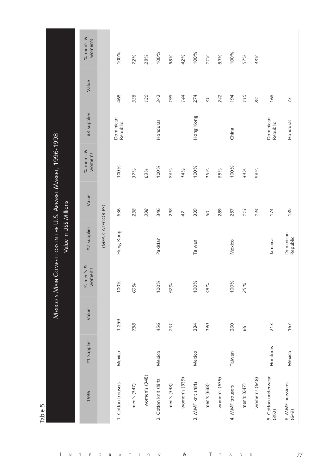| Mexico's Main Competitors in the U.S. Apparel Market, 1996-1998 | Value<br>#3 Supplier<br>% men's &<br>women's |                  | 468<br>Dominican<br>Republic<br>100% | 338<br>37%  | 130<br>63%    | 342<br>Honduras<br>100% | 198<br>86%  | 144<br>14%    | 274<br>Hong Kong<br>100% | $\overline{37}$<br>15% | 242<br>85%    | 194<br>China<br>100% | 110<br>44%  | 84<br>56%     | 168<br>Dominican<br>Republic | 73<br>Honduras    |
|-----------------------------------------------------------------|----------------------------------------------|------------------|--------------------------------------|-------------|---------------|-------------------------|-------------|---------------|--------------------------|------------------------|---------------|----------------------|-------------|---------------|------------------------------|-------------------|
| Value in US\$ Millions                                          | Value<br>#2 Supplier                         | (MFA CATEGORIES) | 636<br>Hong Kong                     | 238         | 398           | 346<br>Pakistan         | 298         | 47            | 339<br>Taiwan            | 50                     | 289           | 257<br>Mexico        | 113         | 144           | 174<br>Jamaica               | Dominican         |
|                                                                 | % men's &<br>women's                         |                  | 100%                                 | 60%         |               | 100%                    | 57%         |               | 100%                     | 49%                    |               | 100%                 | 25%         |               |                              |                   |
|                                                                 | Value                                        |                  | 1,259                                | 758         |               | 456                     | 261         |               | 384                      | 06L                    |               | 260                  | 99          |               | 213                          |                   |
|                                                                 | #1 Supplier                                  |                  | Mexico                               |             |               | Mexico                  |             |               | Mexico                   |                        |               | Taiwan               |             |               | Honduras                     |                   |
|                                                                 | 1996                                         |                  | 1. Cotton trousers                   | men's (347) | women's (348) | 2. Cotton knit shirts   | men's (338) | women's (339) | 3. MMF knit shirts       | men's (638)            | women's (639) | 4. MMF trousers      | men's (647) | women's (648) | 5. Cotton underwear<br>(352) | 6. MMF brassieres |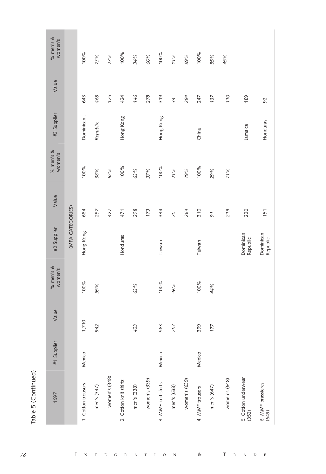| I<br>ı |  |
|--------|--|
| r.     |  |
|        |  |
|        |  |

| 1997                         | #1 Supplier | Value | % men's &<br>women's | #2 Supplier           | Value    | % men's $\&$<br>women's | #3 Supplier | Value | % men's &<br>women's |
|------------------------------|-------------|-------|----------------------|-----------------------|----------|-------------------------|-------------|-------|----------------------|
|                              |             |       |                      | (MFA CATEGORIES)      |          |                         |             |       |                      |
| 1. Cotton trousers           | Mexico      | 1,710 | 100%                 | Hong Kong             | 684      | 100%                    | Dominican.  | 643   | 100%                 |
| men's (347)                  |             | 942   | 55%                  |                       | 257      | 38%                     | Republic    | 468   | 73%                  |
| women's (348)                |             |       |                      |                       | 427      | 62%                     |             | 175   | 27%                  |
| 2. Cotton knit shirts        |             |       |                      | Honduras              | 471      | 100%                    | Hong Kong   | 424   | 100%                 |
| men's (338)                  |             | 423   | 63%                  |                       | 298      | 63%                     |             | 146   | 34%                  |
| women's (339)                |             |       |                      |                       | 173      | 37%                     |             | 278   | 66%                  |
| 3. MMF knit shirts           | Mexico      | 563   | 100%                 | Taiwan                | 334      | 100%                    | Hong Kong   | 319   | 100%                 |
| men's (638)                  |             | 257   | 46%                  |                       | $\infty$ | 21%                     |             | 34    | 11%                  |
| women's (639)                |             |       |                      |                       | 264      | 79%                     |             | 284   | 89%                  |
| 4. MMF trousers              | Mexico      | 399   | 100%                 | Taiwan                | 310      | 100%                    | China       | 247   | 100%                 |
| men's (647)                  |             | 177   | 44%                  |                       | 97       | 29%                     |             | 137   | 55%                  |
| women's (648)                |             |       |                      |                       | 219      | 71%                     |             | 110   | 45%                  |
| 5. Cotton underwear<br>(352) |             |       |                      | Dominican<br>Republic | 220      |                         | Jamaica     | 189   |                      |
| 6. MMF brassieres<br>(649)   |             |       |                      | Dominican<br>Republic | 151      |                         | Honduras    | 92    |                      |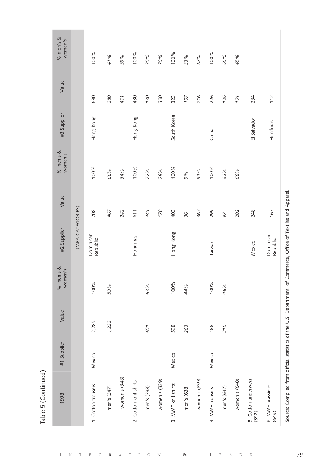| ۱ |
|---|
|   |
| ı |

 $\bar{\rm I}$  $\overline{N}$  $^{\rm T}$  $\mathbf E$  ${\rm G}$  $\mathbb R$  $\mathbf A$  $\mathbf{T}$  $\;$  I  $\circ$  $\overline{N}$ 

|                              |        |       | women's | #2 Supplier           | Value | women's | #3 Supplier | Value | women's |
|------------------------------|--------|-------|---------|-----------------------|-------|---------|-------------|-------|---------|
|                              |        |       |         | (MFA CATEGORIES)      |       |         |             |       |         |
| 1. Cotton trousers           | Mexico | 2,285 | 100%    | Dominican<br>Republic | 708   | 100%    | Hong Kong   | 690   | 100%    |
| men's (347)                  |        | 1,222 | 53%     |                       | 467   | 66%     |             | 280   | 41%     |
| women's (348)                |        |       |         |                       | 242   | 34%     |             | 411   | 59%     |
| 2. Cotton knit shirts        |        |       |         | Honduras              | 611   | 100%    | Hong Kong   | 430   | 100%    |
| men's (338)                  |        | 601   | 63%     |                       | 441   | 72%     |             | 130   | 30%     |
| women's (339)                |        |       |         |                       | 170   | 28%     |             | 300   | 70%     |
| 3. MMF knit shirts           | Mexico | 598   | 100%    | Hong Kong             | 403   | 100%    | South Korea | 323   | 100%    |
| men's (638)                  |        | 263   | 44%     |                       | 36    | 9%      |             | 107   | 33%     |
| women's (639)                |        |       |         |                       | 367   | 91%     |             | 216   | 67%     |
| 4. MMF trousers              | Mexico | 466   | 100%    | Taiwan                | 299   | 100%    | China       | 226   | 100%    |
| men's (647)                  |        | 215   | 46%     |                       | 97    | 32%     |             | 125   | 55%     |
| women's (648)                |        |       |         |                       | 202   | 68%     |             | 101   | 45%     |
| 5. Cotton underwear<br>(352) |        |       |         | Mexico                | 248   |         | El Salvador | 234   |         |
| 6. MMF brassieres<br>(649)   |        |       |         | Dominican<br>Republic | 167   |         | Honduras    | 112   |         |

 $\&$ 

 $\overline{T}$  $\bar{\text{R}}$  $\,$  A  $\bar{\rm D}$  $\rm _E$  Source: Compiled from official statistics of the U.S. Department of Commerce, Office of Textiles and Apparel.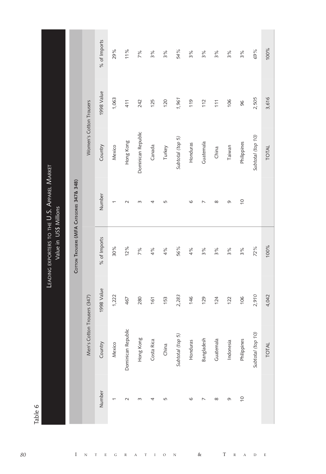|                                                                        |                                           |                             | % of Imports | 29%    | 11%                | 7%                 | 3%         | 3%     | 54%              | 3%       | 3%             | 3%        | 3%        | 3%             | 69%               |
|------------------------------------------------------------------------|-------------------------------------------|-----------------------------|--------------|--------|--------------------|--------------------|------------|--------|------------------|----------|----------------|-----------|-----------|----------------|-------------------|
|                                                                        |                                           |                             | 1998 Value   | 1,063  | 411                | 242                | 125        | 120    | 1,961            | 119      | 112            | 111       | 106       | 96             | 2,505             |
|                                                                        |                                           | Women's Cotton Trousers     | Country      | Mexico | Hong Kong          | Dominican Republic | Canada     | Turkey | Subtotal (top 5) | Honduras | Guatemala      | China     | Taiwan    | Philippines    | Subtotal (top 10) |
|                                                                        |                                           |                             | Number       | ᡪ      | $\sim$             | $\infty$           | 4          | 5      |                  | $\circ$  | $\overline{ }$ | $\infty$  | G         | $\overline{0}$ |                   |
| LEADING EXPORTERS TO THE U.S. APPAREL MARKET<br>Value in US\$ Millions | COTTON TROUSERS (MFA CATEGORIES 347& 348) |                             | % of Imports | 30%    | 12%                | 7%                 | 4%         | 4%     | 56%              | 4%       | 3%             | 3%        | 3%        | 3%             | 72%               |
|                                                                        |                                           |                             | 1998 Value   | 1,222  | 467                | 280                | 161        | 153    | 2,283            | 146      | 129            | 124       | 122       | 106            | 2,910             |
|                                                                        |                                           | Men's Cotton Trousers (347) | Country      | Mexico | Dominican Republic | Hong Kong          | Costa Rica | China  | Subtotal (top 5) | Honduras | Bangladesh     | Guatemala | Indonesia | Philippines    | Subtotal (top 10) |
|                                                                        |                                           |                             | Number       |        | $\sim$             | S                  | 4          | 5      |                  | $\circ$  |                | $\infty$  | Q         | $\frac{1}{2}$  |                   |

100%

3,616

**TOTAL** 

100%

4,042

TOTAL

 $\&$ 

 $\overline{T}$ 

 $\mathbb R$  $\,$  A  $\,$  D  $\,$  E

 $\ensuremath{\mathbf{N}}$ 

 $\rm I$  $\circ$ 

 $\mathbb T$ 

Table 6

 $\bar{\rm I}$ 

 $\bar{N}$  $\mathsf{T}%$  $\mathbf E$  $\mathbf{G}% _{0}$  $\mathbb R$  $\overline{A}$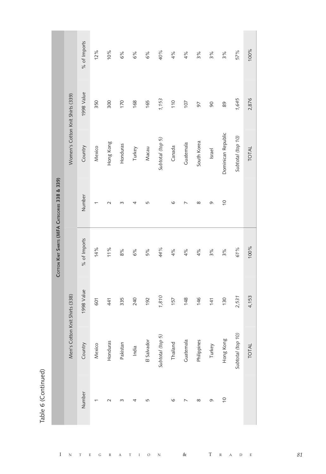Table 6 (Continued)

 $\bar{I}$ 

|                                               |                                  | % of Imports | 12%    | 10%       | 6%       | 6%     | 6%          | 40%              | 4%       | 4%        | 3%          | 3%     | 3%                 | 57%               | 100%  |
|-----------------------------------------------|----------------------------------|--------------|--------|-----------|----------|--------|-------------|------------------|----------|-----------|-------------|--------|--------------------|-------------------|-------|
|                                               |                                  | 1998 Value   | 350    | 300       | 170      | 168    | 165         | 1,153            | 110      | 107       | 97          | 90     | 89                 | 1,645             | 2,876 |
|                                               | Women's Cotton Knit Shirts (339) | Country      | Mexico | Hong Kong | Honduras | Turkey | Macau       | Subtotal (top 5) | Canada   | Guatemala | South Korea | Israel | Dominican Republic | Subtotal (top 10) | TOTAL |
|                                               |                                  | Number       |        | $\sim$    | m        | 4      | 5           |                  | G        |           | $\infty$    | G      | $\frac{1}{2}$      |                   |       |
| COTTON KNIT SHIRTS (MFA CATEGORIES 338 & 339) |                                  | % of Imports | 14%    | 11%       | 8%       | 6%     | 5%          | 44%              | 4%       | 4%        | 4%          | 3%     | 3%                 | 61%               | 100%  |
|                                               |                                  | 1998 Value   | 601    | 41        | 335      | 240    | 192         | 1,810            | 157      | 148       | 146         | 141    | 130                | 2,531             | 4,153 |
|                                               | Men's Cotton Knit Shirts (338)   | Country      | Mexico | Honduras  | Pakistan | India  | El Salvador | Subtotal (top 5) | Thailand | Guatemala | Philippines | Turkey | Hong Kong          | Subtotal (top 10) | TOTAL |
|                                               |                                  | Number       |        |           |          | 4      | 5           |                  | G        |           | $\infty$    | G      | $\overline{0}$     |                   |       |
|                                               |                                  |              |        |           |          |        |             |                  |          |           |             |        |                    |                   |       |

 $\&$  $\mathbf{T}$  $\bar{N}$  $\overline{E}$  $\mathbf{G}% _{0}$  $\overline{\mathbf{R}}$  $\bar{T}$  $\circ$  $\overline{N}$  $\overline{R}$  $\bar{D}$  $\overline{E}$ T  $\overline{\mathbf{A}}$  $\rm I$  $\overline{A}$ 

81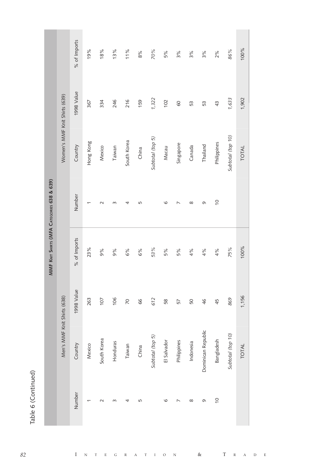|                |                             |                | MMF KNIT SHIRTS (MFA CATEGORIES 638 & 639) |                |                               |            |              |
|----------------|-----------------------------|----------------|--------------------------------------------|----------------|-------------------------------|------------|--------------|
|                | Men's MMF Knit Shirts (638) |                |                                            |                | Women's MMF Knit Shirts (639) |            |              |
| Number         | Country                     | 1998 Value     | % of Imports                               | Number         | Country                       | 1998 Value | % of Imports |
|                | Mexico                      | 263            | 23%                                        | ٢              | Hong Kong                     | 367        | 19%          |
| $\sim$         | South Korea                 | 107            | 9%                                         | $\sim$         | Mexico                        | 334        | 18%          |
| $\infty$       | Honduras                    | 106            | 9%                                         | $\infty$       | Taiwan                        | 246        | 13%          |
| 4              | Taiwan                      | $\overline{2}$ | 6%                                         | 4              | South Korea                   | 216        | 11%          |
| 5              | China                       | 89             | 6%                                         | 5              | China                         | 159        | $8\%$        |
|                | Subtotal (top 5)            | 612            | 53%                                        |                | Subtotal (top 5)              | 1,322      | 70%          |
| $\circ$        | El Salvador                 | 58             | 5%                                         | $\circ$        | Macau                         | 102        | 5%           |
|                | Philippines                 | 57             | 5%                                         |                | Singapore                     | 60         | 3%           |
| $\infty$       | Indonesia                   | 50             | 4%                                         | $\infty$       | Canada                        | 53         | 3%           |
| G              | Dominican Republic          | 46             | 4%                                         | G              | Thailand                      | 53         | 3%           |
| $\overline{0}$ | Bangladesh                  | 45             | 4%                                         | $\overline{0}$ | Philippines                   | 43         | 2%           |
|                | Subtotal (top 10)           | 869            | 75%                                        |                | Subtotal (top 10)             | 1,633      | 86%          |
|                | <b>TOTAL</b>                | 1,156          | 100%                                       |                | <b>TOTAL</b>                  | 1,902      | 100%         |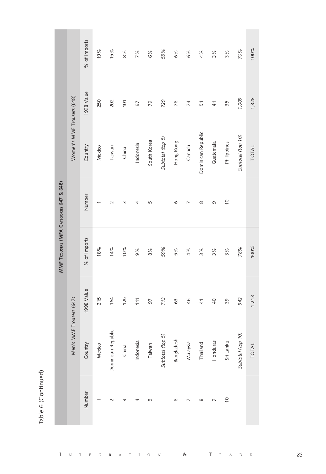Table 6 (Continued)

 $\bar{I}$ 

|                                         |                            | % of Imports | 19%    | 15%                | 8%       | 7%        | 6%          | 55%              | 6%         | 6%       | 4%                 | 3%            | 3%             | 76%               | 100%         |
|-----------------------------------------|----------------------------|--------------|--------|--------------------|----------|-----------|-------------|------------------|------------|----------|--------------------|---------------|----------------|-------------------|--------------|
|                                         |                            | 1998 Value   | 250    | 202                | 101      | 97        | 79          | 729              | 76         | 74       | 54                 | $\frac{4}{1}$ | 35             | 1,009             | 1,328        |
|                                         | Women's MMF Trousers (648) | Country      | Mexico | Taiwan             | China    | Indonesia | South Korea | Subtotal (top 5) | Hong Kong  | Canada   | Dominican Republic | Guatemala     | Philippines    | Subtotal (top 10) | <b>TOTAL</b> |
|                                         |                            | Number       |        | $\sim$             | $\infty$ | 4         | 5           |                  | $\circ$    |          | $\infty$           | Ō             | $\overline{0}$ |                   |              |
| MMF TROUSERS (MFA CATEGORIES 647 & 648) |                            | % of Imports | 18%    | 14%                | 10%      | 9%        | 8%          | 59%              | 5%         | 4%       | 3%                 | 3%            | 3%             | 78%               | 100%         |
|                                         |                            | 1998 Value   | 215    | 164                | 125      | 111       | 97          | 713              | 63         | 46       | $\frac{4}{1}$      | 40            | 39             | 942               | 1,213        |
|                                         | Men's MMF Trousers (647)   | Country      | Mexico | Dominican Republic | China    | Indonesia | Taiwan      | Subtotal (top 5) | Bangladesh | Malaysia | Thailanc           | Honduras      | Sri Lanka      | Subtotal (top 10) | <b>TOTAL</b> |
|                                         |                            | Number       |        | $\sim$             | m        | 4         | 5           |                  | G          |          | $\infty$           | O             | $\overline{0}$ |                   |              |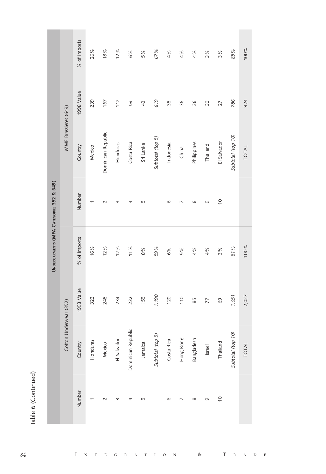Table 6 (Continued)

|                                          |                        | % of Imports | 26%      | 18%                | 12%         | 6%                 | 5%             | 67%              | 4%         | 4%        | 4%          | 3%       | $3\%$          | 85%                   | 100%         |
|------------------------------------------|------------------------|--------------|----------|--------------------|-------------|--------------------|----------------|------------------|------------|-----------|-------------|----------|----------------|-----------------------|--------------|
|                                          |                        | 1998 Value   | 239      | 167                | 112         | 59                 | $\overline{4}$ | 619              | 38         | 36        | 36          | 30       | 27             | 786                   | 924          |
|                                          | MMF Brassieres (649)   | Country      | Mexico   | Dominican Republic | Honduras    | Costa Rica         | Sri Lanka      | Subtotal (top 5) | Indonesia  | China     | Philippines | Thailand | El Salvador    | Subtotal (top 10)     | TOTAL        |
|                                          |                        | Number       | ᡪ        | $\sim$             | $\infty$    | 4                  | 5              |                  | G          | ↖         | $\infty$    | G        | $\frac{1}{2}$  |                       |              |
| UNDERGARMENTS (MFA CATEGORIES 352 & 649) |                        | % of Imports | 16%      | 12%                | 12%         | 11%                | 8%             | 59%              | 6%         | 5%        | 4%          | 4%       | 3%             | 81%                   | 100%         |
|                                          |                        | 1998 Value   | 322      | 248                | 234         | 232                | 155            | 1,190            | 120        | 110       | 85          | 77       | 69             | 1,651                 | 2,027        |
|                                          | Cotton Underwear (352) | Country      | Honduras | Mexico             | El Salvador | Dominican Republic | Jamaica        | Subtotal (top 5) | Costa Rica | Hong Kong | Bangladesh  | Israel   | Thailand       | (01)<br>Subtotal (top | <b>TOTAL</b> |
|                                          |                        | Number       |          | $\sim$             | $\infty$    | 4                  | 5              |                  | O          |           | $^{\circ}$  | Q        | $\overline{0}$ |                       |              |

 $\boldsymbol{\mathrm{N}}$ 

 $\rm I$  $\circ$ 

 $\mathbf T$ 

 $\&$ 

 $\overline{T}$ 

 $\mathbb R$  $\,$  A  $\,$  D  $\overline{E}$ 

 $\bar{\rm I}$ 

 $\rm N$  $\footnotesize\text{T}$  $\mathbf E$  ${\bf G}$  $\mathbb R$  $\overline{A}$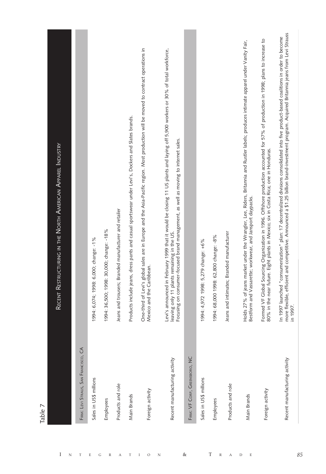| lable                                |                                                                                                                                                                                                                                                                                                 |
|--------------------------------------|-------------------------------------------------------------------------------------------------------------------------------------------------------------------------------------------------------------------------------------------------------------------------------------------------|
|                                      | Recent Restructuring in the North American Apparel Industry                                                                                                                                                                                                                                     |
| FIRM: LEVI STRAUS, SAN FRANCISCO, CA |                                                                                                                                                                                                                                                                                                 |
| Sales in US\$ millions               | 1994: 6,074; 1998: 6,000; change: -1%                                                                                                                                                                                                                                                           |
| Employees                            | 1994: 36,500; 1998: 30,000; change: -18%                                                                                                                                                                                                                                                        |
| Products and role                    | Jeans and trousers; Branded manufacturer and retailer                                                                                                                                                                                                                                           |
| Main Brands                          | Products include jeans, dress pants and casual sportswear under Levi's, Dockers and Slates brands.                                                                                                                                                                                              |
| Foreign activity                     | One-third of Levi's global sales are in Europe and the Asia-Pacific region. Most production will be moved to contract operations in<br>Mexico and the Caribbean.                                                                                                                                |
| Recent manufacturing activity        | Levi's announced in February 1999 that it would be closing 11 US plants and laying off 5,900 workers or 30% of total workforce,<br>Focusing on consumer-focused brand management, as well as moving to internet sales.<br>leaving only 11 plants remaining in the US.                           |
| FIRM: VF CORP, GREENSBORO, NC        |                                                                                                                                                                                                                                                                                                 |
| Sales in US\$ millions               | 1994: 4,972 1998: 5,279 change: +6%                                                                                                                                                                                                                                                             |
| Employees                            | 1994: 68,000 1998: 62,800 change: -8%                                                                                                                                                                                                                                                           |
| Products and role                    | Jeans and intimates; Branded manufacturer                                                                                                                                                                                                                                                       |
| Main Brands                          | Holds 27% of jeans market under the Wrangler, Lee, Riders, Britannia and Rustler labels; produces intimate apparel under Vanity Fair,<br>Bestform and Vassarette; workwear, and Jansport daypacks.                                                                                              |
| Foreign activity                     | Formed VF Global Sourcing Organization in 1996. Offshore production accounted for 57% of production in 1998; plans to increase to<br>80% in the near future. Eight plants in Mexico; six in Costa Rica; one in Honduras.                                                                        |
| Recent manufacturing activity        | more flexible, efficient and competitive. Announced a \$1.25 billion brand-investment program. Acquired Britannia jeans from Levi Strauss<br>In 1997 launched "consumerization" plan: 17 decentralized divisions consolidated into five product-based coalitions in order to become<br>in 1997. |

**Contract** 

Table 7

**Contract Contract** 

85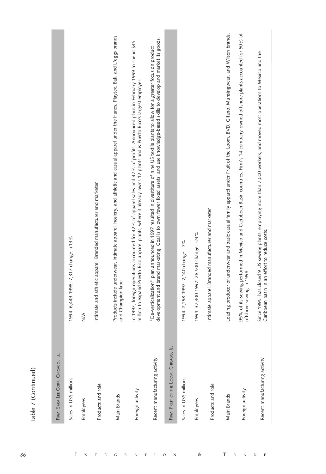| r |  |
|---|--|
| г |  |
|   |  |
|   |  |
|   |  |
|   |  |

| Sales in US\$ millions                 | 1994: 6,449 1998: 7,317 change: +13%                                                                                                                                                                                                                                         |
|----------------------------------------|------------------------------------------------------------------------------------------------------------------------------------------------------------------------------------------------------------------------------------------------------------------------------|
| Employees                              | $\frac{1}{2}$                                                                                                                                                                                                                                                                |
| Products and role                      | Intimate and athletic apparel, Branded manufacturer and marketer                                                                                                                                                                                                             |
| Main Brands                            | Products include underwear, intimate apparel, hosiery, and athletic and casual apparel under the Hanes, Playtex, Bali, and L'eggs brands<br>and Champion label.                                                                                                              |
| Foreign activity                       | In 1997, foreign operations accounted for 42% of apparel sales and 47% of profits. Announced plans in February 1999 to spend \$45<br>million to expand Puerto Rico apparel plants, where it already owns 12 plants and is Puerto Rico's largest employer.                    |
| Recent manufacturing activity          | development and brand marketing. Goal is to own fewer fixed assets, and use knowledge-based skills to develop and market its goods.<br>"De-verticalization" plan announced in 1997 resulted in divestiture of nine US textile plants to allow for a greater focus on product |
| FIRM: FRUIT OF THE LOOM, CHICAGO, ILL. |                                                                                                                                                                                                                                                                              |
| Sales in US\$ millions                 | 1994: 2,298 1997: 2,140 change: -7%                                                                                                                                                                                                                                          |
| Employees                              | 1994: 37,400 1997: 28,500 change: -24%                                                                                                                                                                                                                                       |
| Products and role                      | Intimate apparel, Branded manufacturer and marketer                                                                                                                                                                                                                          |
| Main Brands                            | Leading producer of underwear and basic casual family apparel under Fruit of the Loom, BVD, Gitano, Munsingwear, and Wilson brands.                                                                                                                                          |
| Foreign activity                       | 95% of its sewing performed in Mexico and Caribbean Basin countries. Firm's 14 company-owned offshore plants accounted for 50% of<br>offshore sewing in 1998.                                                                                                                |
| Recent manufacturing activity          | Since 1995, has closed 9 US sewing plants, employing more than 7,000 workers, and moved most operations to Mexico and the<br>Caribbean basin in an effort to reduce costs.                                                                                                   |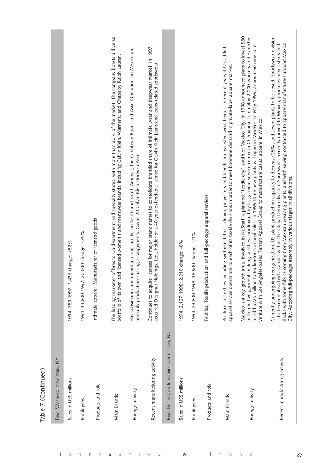| r |  |
|---|--|
|   |  |
|   |  |
|   |  |
|   |  |
|   |  |
|   |  |
|   |  |

| FIRM: WARNACO, NEW YORK, NY                 |                                                                                                                                                                                                                                                                                                                                                                                                                                                                                                                          |
|---------------------------------------------|--------------------------------------------------------------------------------------------------------------------------------------------------------------------------------------------------------------------------------------------------------------------------------------------------------------------------------------------------------------------------------------------------------------------------------------------------------------------------------------------------------------------------|
| Sales in US\$ millions                      | 1994: 789 1997: 1,436 change: +82%                                                                                                                                                                                                                                                                                                                                                                                                                                                                                       |
| Employees                                   | 1994: 14,800 1997: 20,000 change: +35%                                                                                                                                                                                                                                                                                                                                                                                                                                                                                   |
| Products and role                           | Intimate apparel, Manufacturer of licensed goods                                                                                                                                                                                                                                                                                                                                                                                                                                                                         |
| Main Brands                                 | The leading marketer of bras to US department and specialty stores, with more than 30% of the market. The company boasts a diverse<br>portfolio of its own and licensed women's and menswear brands, including Calvin Klein, Warner's, and Chaps by Ralph Lauren.                                                                                                                                                                                                                                                        |
| Foreign activity                            | Has subsidiaries and manufacturing facilities in North and South America, the Caribbean Basin, and Asia. Operations in Mexico are<br>primarily production-sharing arrangements. Owns 20 Calvin Klein stores in Asia.                                                                                                                                                                                                                                                                                                     |
| Recent manufacturing activity               | Continues to acquire licenses for major brand names to consolidate branded share of intimate wear and sleepwear market. In 1997<br>acquired Designer Holdings, Ltd., holder of a 40-year extendable license for Calvin Klein jeans and jeans-related sportswear.                                                                                                                                                                                                                                                         |
| FIRM: BURLINGTON INDUSTRIES, GREENSBORO, NC |                                                                                                                                                                                                                                                                                                                                                                                                                                                                                                                          |
| Sales in US\$ millions                      | 1994: 2,127 1998: 2,010 change: -6%                                                                                                                                                                                                                                                                                                                                                                                                                                                                                      |
| Employees                                   | 1994: 23,800 1998: 18,900 change: -21%                                                                                                                                                                                                                                                                                                                                                                                                                                                                                   |
| Products and role                           | Textiles, Textile production and full-package apparel services                                                                                                                                                                                                                                                                                                                                                                                                                                                           |
| Main Brands                                 | Producer of textiles including synthetic fabrics, denim, polyesters and blends and worsted wool blends. In recent years it has added<br>apparel service operations to each of its textile divisions in order to meet booming demand in private-label apparel market                                                                                                                                                                                                                                                      |
| Foreign activity                            | Mexico is a key growth area. Involved in NuStart, a planned "textile city" south of Mexico City. In 1998 announced plans to invest \$80<br>million in five garment-making facilities coordinated by its garment service center in Chihuahua, to employ 2,000 workers and expected<br>to add \$225 million to Burlington's annual sales. In 1999 three new plants will open in Morelos. In May 1999, announced new joint<br>venture with Los Angeles-based Tarrant Apparel Group to manufacture casual apparel in Mexico. |
| Recent manufacturing activity               | Currently undergoing reorganization. US plant production capacity to decrease 25%, and seven plants to be closed. Sportswear division<br>slacks with some fabrics coming from Mexican weaving plants, and with sewing contracted to apparel manufacturers around Mexico<br>is to become absorbed as a unit within the Global Denim division. Sportswear, recently moved to Mexico, produces men's shirts and<br>City. Adopting full-package assembly in various stages in all divisions.                                 |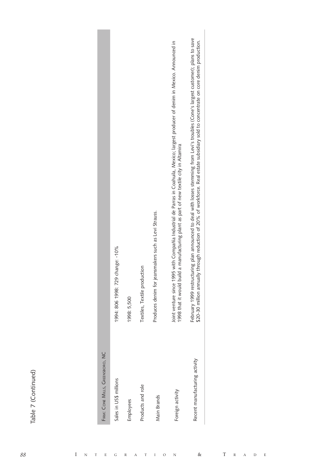| ۰<br>ď                   |  |
|--------------------------|--|
|                          |  |
|                          |  |
| ١<br>ਨ<br>$\overline{c}$ |  |
|                          |  |

| FIRM: CONE MILLS, GREENSBORO, NC |                                                                                                                                                                                                                                                                               |
|----------------------------------|-------------------------------------------------------------------------------------------------------------------------------------------------------------------------------------------------------------------------------------------------------------------------------|
| Sales in US\$ millions           | 1994: 806 1998: 729 change: - 10%                                                                                                                                                                                                                                             |
| Employees                        | 1998: 5,500                                                                                                                                                                                                                                                                   |
| Products and role                | Textiles, Textile production                                                                                                                                                                                                                                                  |
| Main Brands                      | Produces denim for jeansmakers such as Levi Strauss.                                                                                                                                                                                                                          |
| Foreign activity                 | Joint venture since 1995 with Compañía Industrial de Parras in Coahuila, Mexico; largest producer of denim in Mexico. Announced in<br>1998 that it would build a manufacturing plant as part of new textile city in Altamira                                                  |
| Recent manufacturing activity    | February 1999 restructuring plan announced to deal with losses stemming from Levi's troubles (Cone's largest customer); plans to save<br>\$20-30 million annually through reduction of 20% of workforce. Real estate subsidiary sold to concentrate on core denim production. |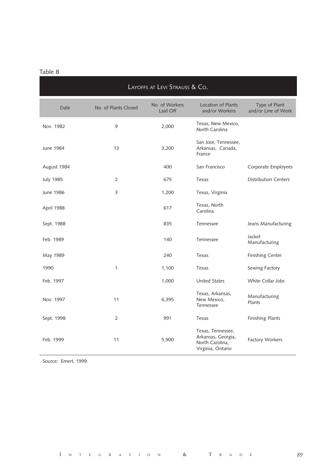| LAYOFFS AT LEVI STRAUSS & CO. |                      |                            |                                                                                 |                                      |  |
|-------------------------------|----------------------|----------------------------|---------------------------------------------------------------------------------|--------------------------------------|--|
| Date                          | No. of Plants Closed | No. of Workers<br>Laid Off | <b>Location of Plants</b><br>and/or Workers                                     | Type of Plant<br>and/or Line of Work |  |
| Nov. 1982                     | 9                    | 2,000                      | Texas, New Mexico,<br>North Carolina                                            |                                      |  |
| June 1984                     | 13                   | 3,200                      | San Jose, Tennessee,<br>Arkansas, Canada,<br>France                             |                                      |  |
| August 1984                   |                      | 400                        | San Francisco                                                                   | Corporate Employees                  |  |
| <b>July 1985</b>              | $\overline{2}$       | 675                        | Texas                                                                           | <b>Distribution Centers</b>          |  |
| June 1986                     | 3                    | 1,200                      | Texas, Virginia                                                                 |                                      |  |
| April 1988                    |                      | 617                        | Texas, North<br>Carolina                                                        |                                      |  |
| Sept. 1988                    |                      | 835                        | Tennessee                                                                       | Jeans Manufacturing                  |  |
| Feb. 1989                     |                      | 140                        | Tennessee                                                                       | Jacket<br>Manufacturing              |  |
| May 1989                      |                      | 240                        | Texas                                                                           | <b>Finishing Center</b>              |  |
| 1990                          | 1                    | 1,100                      | Texas                                                                           | Sewing Factory                       |  |
| Feb. 1997                     |                      | 1,000                      | <b>United States</b>                                                            | White Collar Jobs                    |  |
| Nov. 1997                     | 11                   | 6,395                      | Texas, Arkansas,<br>New Mexico,<br>Tennessee                                    | Manufacturing<br>Plants              |  |
| Sept. 1998                    | $\overline{2}$       | 991                        | Texas                                                                           | <b>Finishing Plants</b>              |  |
| Feb. 1999                     | 11                   | 5,900                      | Texas, Tennessee,<br>Arkansas, Georgia,<br>North Carolina,<br>Virginia, Ontario | <b>Factory Workers</b>               |  |

Source: Emert, 1999.

89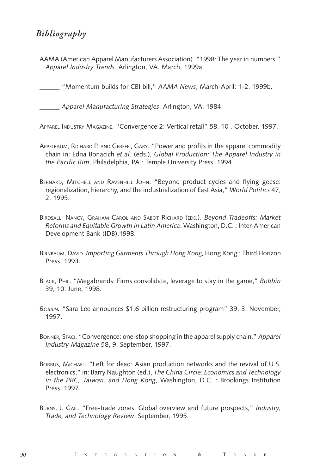# *Bibliography*

AAMA (American Apparel Manufacturers Association). "1998: The year in numbers," *Apparel Industry Trends.* Arlington, VA. March, 1999a.

\_\_\_\_\_\_ "Momentum builds for CBI bill," *AAMA News*, March-April: 1-2. 1999b.

\_\_\_\_\_\_ *Apparel Manufacturing Strategies*, Arlington, VA. 1984.

APPAREL INDUSTRY MAGAZINE. "Convergence 2: Vertical retail" 58, 10 . October. 1997.

- APPELBAUM, RICHARD P. AND GEREFFI, GARY. "Power and profits in the apparel commodity chain in: Edna Bonacich *et al.* (eds.), *Global Production: The Apparel Industry in the Pacific Rim*, Philadelphia, PA : Temple University Press. 1994.
- BERNARD, MITCHELL AND RAVENHILL JOHN. "Beyond product cycles and flying geese: regionalization, hierarchy, and the industrialization of East Asia," *World Politics* 47, 2. 1995.
- BIRDSALL, NANCY, GRAHAM CAROL AND SABOT RICHARD (EDS.). *Beyond Tradeoffs: Market Reforms and Equitable Growth in Latin America*. Washington, D.C. : Inter-American Development Bank (IDB).1998.
- BIRNBAUM, DAVID. *Importing Garments Through Hong Kong*, Hong Kong : Third Horizon Press. 1993.
- BLACK, PHIL. "Megabrands: Firms consolidate, leverage to stay in the game," *Bobbin* 39, 10. June, 1998.
- *BOBBIN.* "Sara Lee announces \$1.6 billion restructuring program" 39, 3. November, 1997.
- BONNER, STACI. "Convergence: one-stop shopping in the apparel supply chain," *Apparel Industry Magazine* 58, 9. September, 1997.
- BORRUS, MICHAEL. "Left for dead: Asian production networks and the revival of U.S. electronics," in: Barry Naughton (ed.), *The China Circle: Economics and Technology in the PRC, Taiwan, and Hong Kong*, Washington, D.C. : Brookings Institution Press. 1997.
- BURNS, J. GAIL. "Free-trade zones: Global overview and future prospects," *Industry, Trade, and Technology Review*. September, 1995.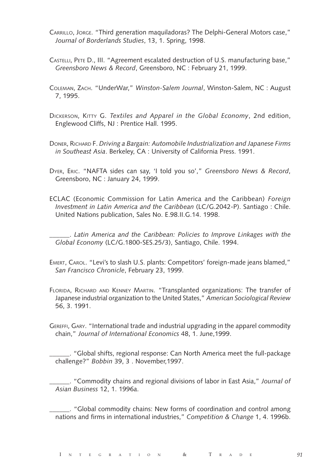- CARRILLO, JORGE. "Third generation maquiladoras? The Delphi-General Motors case," *Journal of Borderlands Studies*, 13, 1. Spring, 1998.
- CASTELLI, PETE D., III. "Agreement escalated destruction of U.S. manufacturing base," *Greensboro News & Record*, Greensboro, NC : February 21, 1999.
- COLEMAN, ZACH. "UnderWar," *Winston-Salem Journal*, Winston-Salem, NC : August 7, 1995.
- DICKERSON, KITTY G. *Textiles and Apparel in the Global Economy*, 2nd edition, Englewood Cliffs, NJ : Prentice Hall. 1995.
- DONER, RICHARD F. *Driving a Bargain: Automobile Industrialization and Japanese Firms in Southeast Asia*. Berkeley, CA : University of California Press. 1991.
- DYER, ERIC. "NAFTA sides can say, 'I told you so'," *Greensboro News & Record*, Greensboro, NC : January 24, 1999.
- ECLAC (Economic Commission for Latin America and the Caribbean) *Foreign Investment in Latin America and the Caribbean* (LC/G.2042-P). Santiago : Chile. United Nations publication, Sales No. E.98.II.G.14. 1998.
- \_\_\_\_\_\_. *Latin America and the Caribbean: Policies to Improve Linkages with the Global Economy* (LC/G.1800-SES.25/3), Santiago, Chile. 1994.
- EMERT, CAROL. "Levi's to slash U.S. plants: Competitors' foreign-made jeans blamed," *San Francisco Chronicle*, February 23, 1999.
- FLORIDA, RICHARD AND KENNEY MARTIN. "Transplanted organizations: The transfer of Japanese industrial organization to the United States," *American Sociological Review* 56, 3. 1991.
- GEREFFI, GARY. "International trade and industrial upgrading in the apparel commodity chain," *Journal of International Economics* 48, 1. June,1999.

\_\_\_\_\_\_. "Global shifts, regional response: Can North America meet the full-package challenge?" *Bobbin* 39, 3 . November,1997.

\_\_\_\_\_\_. "Commodity chains and regional divisions of labor in East Asia," *Journal of Asian Business* 12, 1. 1996a.

\_\_\_\_\_\_. "Global commodity chains: New forms of coordination and control among nations and firms in international industries," *Competition & Change* 1, 4. 1996b.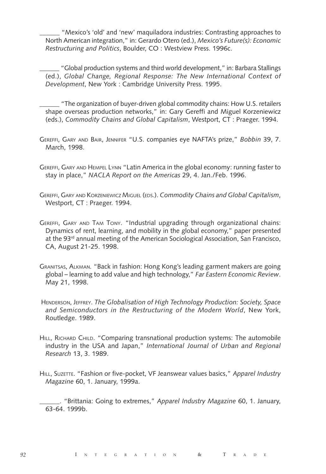\_\_\_\_\_\_ "Mexico's 'old' and 'new' maquiladora industries: Contrasting approaches to North American integration," in: Gerardo Otero (ed.), *Mexico's Future(s): Economic Restructuring and Politics*, Boulder, CO : Westview Press. 1996c.

\_\_\_\_\_\_ "Global production systems and third world development," in: Barbara Stallings (ed.), *Global Change, Regional Response: The New International Context of Development*, New York : Cambridge University Press. 1995.

\_\_\_\_\_\_ "The organization of buyer-driven global commodity chains: How U.S. retailers shape overseas production networks," in: Gary Gereffi and Miguel Korzeniewicz (eds.), *Commodity Chains and Global Capitalism*, Westport, CT : Praeger. 1994.

- GEREFFI, GARY AND BAIR, JENNIFER "U.S. companies eye NAFTA's prize," *Bobbin* 39, 7. March, 1998.
- GEREFFI, GARY AND HEMPEL LYNN "Latin America in the global economy: running faster to stay in place," *NACLA Report on the Americas* 29, 4. Jan./Feb. 1996.
- GEREFFI, GARY AND KORZENIEWICZ MIGUEL (EDS.). *Commodity Chains and Global Capitalism*, Westport, CT : Praeger. 1994.
- GEREFFI, GARY AND TAM TONY. "Industrial upgrading through organizational chains: Dynamics of rent, learning, and mobility in the global economy," paper presented at the 93rd annual meeting of the American Sociological Association, San Francisco, CA, August 21-25. 1998.
- GRANITSAS, ALKMAN. "Back in fashion: Hong Kong's leading garment makers are going global – learning to add value and high technology," *Far Eastern Economic Review*. May 21, 1998.
- HENDERSON, JEFFREY. *The Globalisation of High Technology Production: Society, Space and Semiconductors in the Restructuring of the Modern World*, New York, Routledge. 1989.
- HILL, RICHARD CHILD. "Comparing transnational production systems: The automobile industry in the USA and Japan," *International Journal of Urban and Regional Research* 13, 3. 1989.
- HILL, SUZETTE. "Fashion or five-pocket, VF Jeanswear values basics," *Apparel Industry Magazine* 60, 1. January, 1999a.

\_\_\_\_\_\_. "Brittania: Going to extremes," *Apparel Industry Magazine* 60, 1. January, 63-64. 1999b.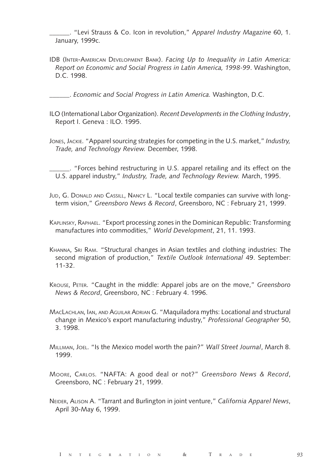\_\_\_\_\_\_. "Levi Strauss & Co. Icon in revolution," *Apparel Industry Magazine* 60, 1. January, 1999c.

IDB (INTER-AMERICAN DEVELOPMENT BANK). *Facing Up to Inequality in Latin America: Report on Economic and Social Progress in Latin America, 1998-99*. Washington, D.C. 1998.

\_\_\_\_\_\_. *Economic and Social Progress in Latin America.* Washington, D.C.

- ILO (International Labor Organization). *Recent Developments in the Clothing Industry*, Report I. Geneva : ILO. 1995.
- JONES, JACKIE. "Apparel sourcing strategies for competing in the U.S. market," *Industry, Trade, and Technology Review.* December, 1998.

\_\_\_\_\_\_. "Forces behind restructuring in U.S. apparel retailing and its effect on the U.S. apparel industry," *Industry, Trade, and Technology Review.* March, 1995.

- JUD, G. DONALD AND CASSILL, NANCY L. "Local textile companies can survive with longterm vision," *Greensboro News & Record*, Greensboro, NC : February 21, 1999.
- KAPLINSKY, RAPHAEL. "Export processing zones in the Dominican Republic: Transforming manufactures into commodities," *World Development*, 21, 11. 1993.
- KHANNA, SRI RAM. "Structural changes in Asian textiles and clothing industries: The second migration of production," *Textile Outlook International* 49. September: 11-32.
- KROUSE, PETER. "Caught in the middle: Apparel jobs are on the move," *Greensboro News & Record*, Greensboro, NC : February 4. 1996.
- MACLACHLAN, IAN, AND AGUILAR ADRIAN G. "Maquiladora myths: Locational and structural change in Mexico's export manufacturing industry," *Professional Geographer* 50, 3. 1998.
- MILLMAN, JOEL. "Is the Mexico model worth the pain?" *Wall Street Journal*, March 8. 1999.
- MOORE, CARLOS. "NAFTA: A good deal or not?" *Greensboro News & Record*, Greensboro, NC : February 21, 1999.
- NEIDER, ALISON A. "Tarrant and Burlington in joint venture," *California Apparel News*, April 30-May 6, 1999.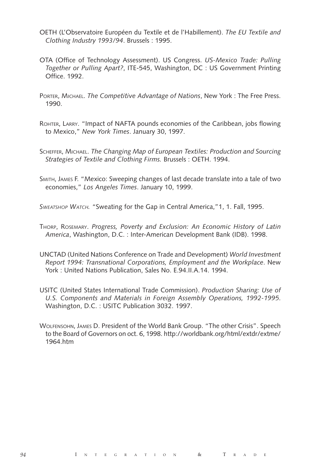- OETH (L'Observatoire Européen du Textile et de l'Habillement). *The EU Textile and Clothing Industry 1993/94*. Brussels : 1995.
- OTA (Office of Technology Assessment). US Congress. *US-Mexico Trade: Pulling Together or Pulling Apart?*, ITE-545, Washington, DC : US Government Printing Office. 1992.
- PORTER, MICHAEL. *The Competitive Advantage of Nations*, New York : The Free Press. 1990.
- ROHTER, LARRY. "Impact of NAFTA pounds economies of the Caribbean, jobs flowing to Mexico," *New York Times*. January 30, 1997.
- SCHEFFER, MICHAEL. *The Changing Map of European Textiles: Production and Sourcing Strategies of Textile and Clothing Firms.* Brussels : OETH. 1994.
- SMITH, JAMES F. "Mexico: Sweeping changes of last decade translate into a tale of two economies," *Los Angeles Times*. January 10, 1999.

*SWEATSHOP WATCH.* "Sweating for the Gap in Central America,"1, 1. Fall, 1995.

- THORP, ROSEMARY. *Progress, Poverty and Exclusion: An Economic History of Latin America*, Washington, D.C. : Inter-American Development Bank (IDB). 1998.
- UNCTAD (United Nations Conference on Trade and Development) *World Investment Report 1994: Transnational Corporations, Employment and the Workplace*. New York : United Nations Publication, Sales No. E.94.II.A.14. 1994.
- USITC (United States International Trade Commission). *Production Sharing: Use of U.S. Components and Materials in Foreign Assembly Operations, 1992-1995*. Washington, D.C. : USITC Publication 3032. 1997.
- WOLFENSOHN, JAMES D. President of the World Bank Group. "The other Crisis". Speech to the Board of Governors on oct. 6, 1998. http://worldbank.org/html/extdr/extme/ 1964.htm